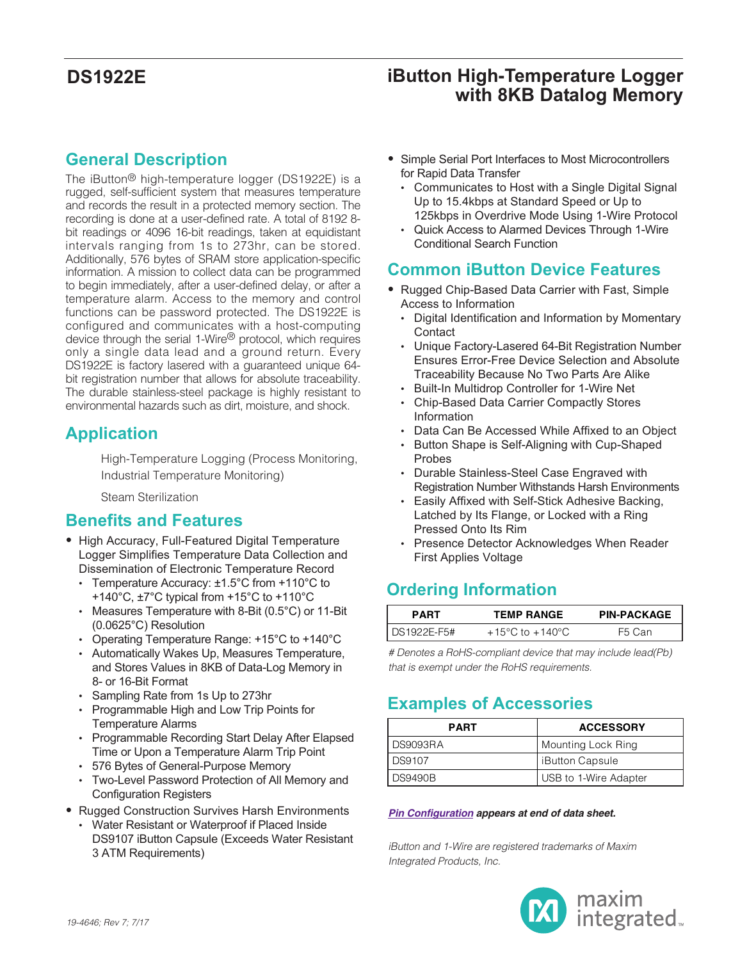## **General Description**

The iButton® high-temperature logger (DS1922E) is a rugged, self-sufficient system that measures temperature and records the result in a protected memory section. The recording is done at a user-defined rate. A total of 8192 8 bit readings or 4096 16-bit readings, taken at equidistant intervals ranging from 1s to 273hr, can be stored. Additionally, 576 bytes of SRAM store application-specific information. A mission to collect data can be programmed to begin immediately, after a user-defined delay, or after a temperature alarm. Access to the memory and control functions can be password protected. The DS1922E is configured and communicates with a host-computing device through the serial 1-Wire® protocol, which requires only a single data lead and a ground return. Every DS1922E is factory lasered with a guaranteed unique 64 bit registration number that allows for absolute traceability. The durable stainless-steel package is highly resistant to environmental hazards such as dirt, moisture, and shock.

## **Application**

High-Temperature Logging (Process Monitoring, Industrial Temperature Monitoring)

Steam Sterilization

## **Benefits and Features**

- **•** High Accuracy, Full-Featured Digital Temperature Logger Simplifies Temperature Data Collection and Dissemination of Electronic Temperature Record
	- Temperature Accuracy: ±1.5°C from +110°C to +140°C, ±7°C typical from +15°C to +110°C
	- Measures Temperature with 8-Bit (0.5°C) or 11-Bit (0.0625°C) Resolution
	- Operating Temperature Range: +15°C to +140°C
	- Automatically Wakes Up, Measures Temperature, and Stores Values in 8KB of Data-Log Memory in 8- or 16-Bit Format
	- Sampling Rate from 1s Up to 273hr
	- Programmable High and Low Trip Points for Temperature Alarms
	- Programmable Recording Start Delay After Elapsed Time or Upon a Temperature Alarm Trip Point
	- 576 Bytes of General-Purpose Memory
	- Two-Level Password Protection of All Memory and Configuration Registers
- **•** Rugged Construction Survives Harsh Environments
	- Water Resistant or Waterproof if Placed Inside DS9107 iButton Capsule (Exceeds Water Resistant 3 ATM Requirements)
- **•** Simple Serial Port Interfaces to Most Microcontrollers for Rapid Data Transfer
	- Communicates to Host with a Single Digital Signal Up to 15.4kbps at Standard Speed or Up to 125kbps in Overdrive Mode Using 1-Wire Protocol
	- Quick Access to Alarmed Devices Through 1-Wire Conditional Search Function

## **Common iButton Device Features**

- **•** Rugged Chip-Based Data Carrier with Fast, Simple Access to Information
	- Digital Identification and Information by Momentary **Contact**
	- Unique Factory-Lasered 64-Bit Registration Number Ensures Error-Free Device Selection and Absolute Traceability Because No Two Parts Are Alike
	- Built-In Multidrop Controller for 1-Wire Net
	- Chip-Based Data Carrier Compactly Stores Information
	- Data Can Be Accessed While Affixed to an Object
	- Button Shape is Self-Aligning with Cup-Shaped Probes
	- Durable Stainless-Steel Case Engraved with Registration Number Withstands Harsh Environments
	- Easily Affixed with Self-Stick Adhesive Backing, Latched by Its Flange, or Locked with a Ring Pressed Onto Its Rim
	- Presence Detector Acknowledges When Reader First Applies Voltage

# **Ordering Information**

| PART        | <b>TEMP RANGE</b>                   | <b>PIN-PACKAGE</b> |
|-------------|-------------------------------------|--------------------|
| DS1922F-F5# | $+15^{\circ}$ C to $+140^{\circ}$ C | F5 Can             |

*# Denotes a RoHS-compliant device that may include lead(Pb) that is exempt under the RoHS requirements.*

# **Examples of Accessories**

| PART            | <b>ACCESSORY</b>      |  |  |  |  |
|-----------------|-----------------------|--|--|--|--|
| <b>DS9093RA</b> | Mounting Lock Ring    |  |  |  |  |
| <b>DS9107</b>   | <b>Button Capsule</b> |  |  |  |  |
| <b>DS9490B</b>  | USB to 1-Wire Adapter |  |  |  |  |

### *Pin [Configuration](#page-42-0) appears at end of data sheet.*

*iButton and 1-Wire are registered trademarks of Maxim Integrated Products, Inc.*

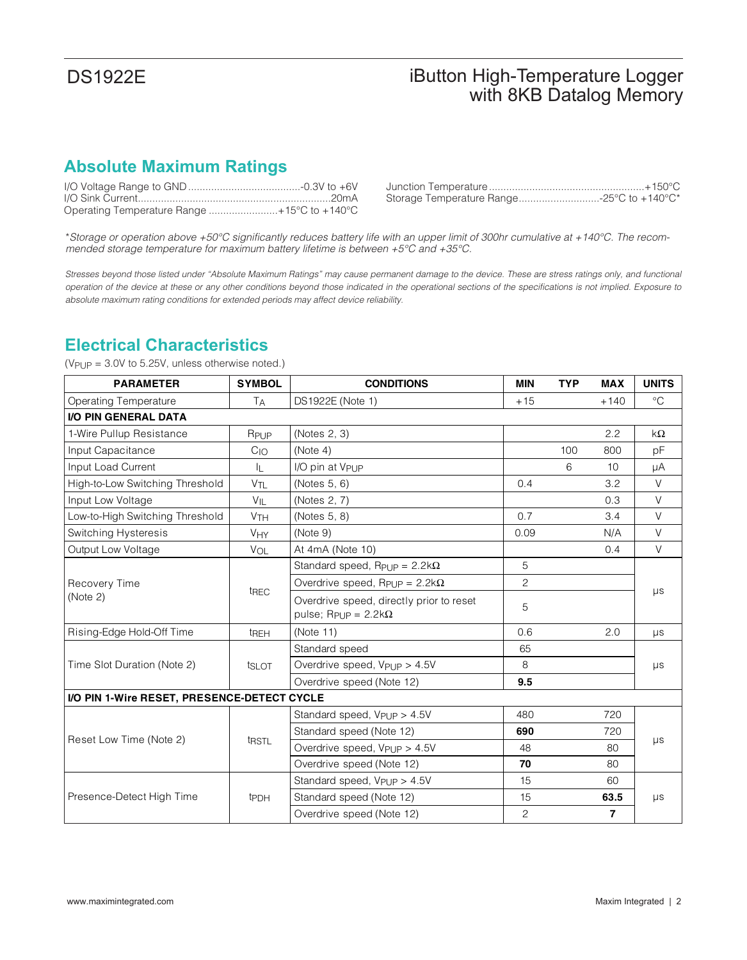# **Absolute Maximum Ratings**

| Storage Temperature Range-25°C to +140°C* |
|-------------------------------------------|
|                                           |

\*Storage or operation above +50°C significantly reduces battery life with an upper limit of 300hr cumulative at +140°C. The recom*mended storage temperature for maximum battery lifetime is between +5°C and +35°C.*

Stresses beyond those listed under "Absolute Maximum Ratings" may cause permanent damage to the device. These are stress ratings only, and functional operation of the device at these or any other conditions beyond those indicated in the operational sections of the specifications is not implied. Exposure to *absolute maximum rating conditions for extended periods may affect device reliability.*

## **Electrical Characteristics**

(VPUP = 3.0V to 5.25V, unless otherwise noted.) 

| <b>PARAMETER</b>                            | <b>SYMBOL</b>    | <b>CONDITIONS</b>                                                                 | <b>MIN</b>     | <b>TYP</b> | <b>MAX</b>      | <b>UNITS</b> |  |  |
|---------------------------------------------|------------------|-----------------------------------------------------------------------------------|----------------|------------|-----------------|--------------|--|--|
| Operating Temperature                       | <b>TA</b>        | DS1922E (Note 1)                                                                  | $+15$          |            | $+140$          | $^{\circ}C$  |  |  |
| <b>I/O PIN GENERAL DATA</b>                 |                  |                                                                                   |                |            |                 |              |  |  |
| 1-Wire Pullup Resistance                    | RPUP             | (Notes 2, 3)                                                                      |                |            | 2.2             | kΩ           |  |  |
| Input Capacitance                           | $C_{10}$         | (Note 4)                                                                          |                | 100        | 800             | pF           |  |  |
| Input Load Current                          | h.               | I/O pin at V <sub>PUP</sub>                                                       |                | 6          | 10 <sup>1</sup> | μA           |  |  |
| High-to-Low Switching Threshold             | $V$ TI           | (Notes 5, 6)                                                                      | 0.4            |            | 3.2             | $\vee$       |  |  |
| Input Low Voltage                           | $V_{\parallel}$  | (Notes 2, 7)                                                                      |                |            | 0.3             | $\vee$       |  |  |
| Low-to-High Switching Threshold             | VTH              | (Notes 5, 8)                                                                      | 0.7            |            | 3.4             | V            |  |  |
| Switching Hysteresis                        | <b>VHY</b>       | (Note 9)                                                                          | 0.09           |            | N/A             | $\vee$       |  |  |
| Output Low Voltage                          | VOL              | At 4mA (Note 10)                                                                  |                |            | 0.4             | $\vee$       |  |  |
| Recovery Time                               | t <sub>REC</sub> | Standard speed, $R_{PUP} = 2.2k\Omega$                                            | 5              |            |                 |              |  |  |
|                                             |                  | Overdrive speed, $R_{Pl} p = 2.2 k\Omega$                                         | $\overline{c}$ |            |                 | $\mu s$      |  |  |
| (Note 2)                                    |                  | Overdrive speed, directly prior to reset<br>pulse; $R_{\text{PLIP}} = 2.2k\Omega$ | 5              |            |                 |              |  |  |
| Rising-Edge Hold-Off Time                   | t <sub>REH</sub> | (Note 11)                                                                         | 0.6            |            | 2.0             | μs           |  |  |
|                                             |                  | Standard speed                                                                    | 65             |            |                 |              |  |  |
| Time Slot Duration (Note 2)                 | tsi ot           | Overdrive speed, $V_{\text{Pl}}$ $p > 4.5V$                                       | 8              |            |                 | μs           |  |  |
|                                             |                  | Overdrive speed (Note 12)                                                         | 9.5            |            |                 |              |  |  |
| I/O PIN 1-Wire RESET, PRESENCE-DETECT CYCLE |                  |                                                                                   |                |            |                 |              |  |  |
|                                             |                  | Standard speed, V <sub>PUP</sub> > 4.5V                                           | 480            |            | 720             |              |  |  |
|                                             |                  | Standard speed (Note 12)                                                          | 690            |            | 720             |              |  |  |
| Reset Low Time (Note 2)                     | trstL            | Overdrive speed, VPUP > 4.5V                                                      | 48             | μs<br>80   |                 |              |  |  |
|                                             |                  | Overdrive speed (Note 12)                                                         | 70             |            | 80              |              |  |  |
|                                             |                  | Standard speed, VPUP > 4.5V                                                       | 15             |            | 60              |              |  |  |
| Presence-Detect High Time                   | tPDH             | Standard speed (Note 12)                                                          | 15             | 63.5       |                 |              |  |  |
|                                             |                  | Overdrive speed (Note 12)                                                         | $\overline{c}$ |            | 7               |              |  |  |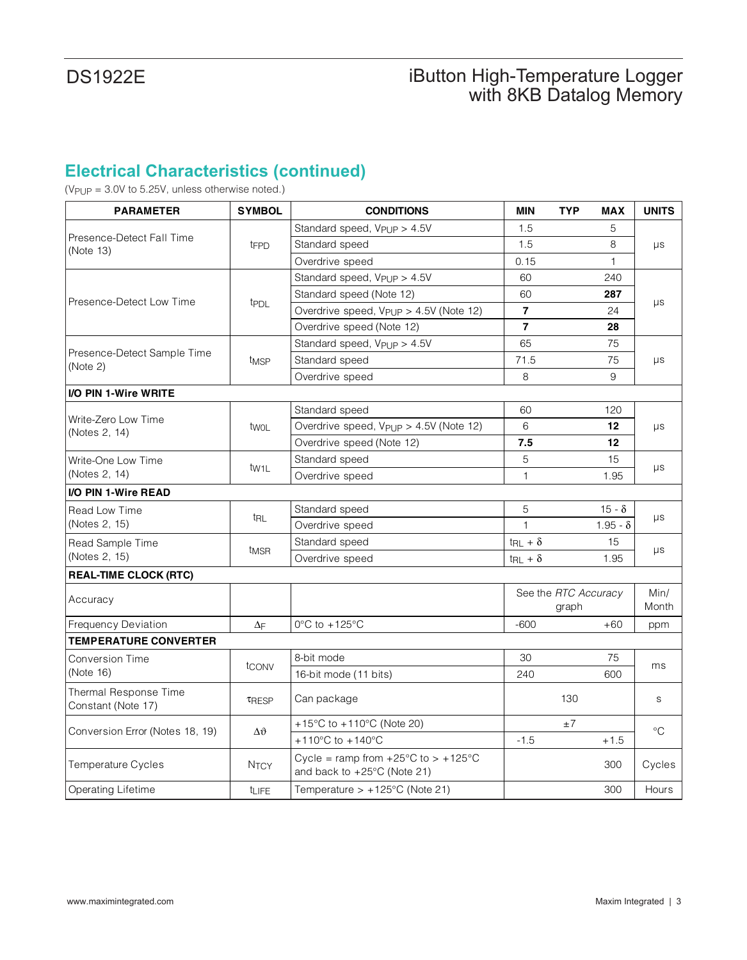#### DS1922E **iButton High-Temperature Logger** with 8KB Datalog Memory itton Hign-Temperature

# **Electrical Characteristics (continued)**

(VPUP = 3.0V to 5.25V, unless otherwise noted.) 

| <b>PARAMETER</b>                            | <b>SYMBOL</b>     | <b>CONDITIONS</b>                                                                      | <b>MIN</b>               | <b>TYP</b>           | <b>MAX</b>      | <b>UNITS</b> |  |
|---------------------------------------------|-------------------|----------------------------------------------------------------------------------------|--------------------------|----------------------|-----------------|--------------|--|
|                                             |                   | Standard speed, VPUP > 4.5V                                                            | 1.5                      |                      | 5               |              |  |
| Presence-Detect Fall Time<br>(Note 13)      | t <sub>FPD</sub>  | Standard speed                                                                         | 1.5                      |                      | 8               | $\mu s$      |  |
|                                             |                   | Overdrive speed                                                                        | 0.15                     |                      | 1               |              |  |
|                                             |                   | Standard speed, V <sub>PUP</sub> > 4.5V                                                | 60                       |                      | 240             |              |  |
|                                             |                   | Standard speed (Note 12)                                                               | 60                       |                      | 287             |              |  |
| Presence-Detect Low Time                    | tpni              | Overdrive speed, V <sub>PUP</sub> > 4.5V (Note 12)                                     | $\overline{7}$           |                      | 24              | μs           |  |
|                                             |                   | Overdrive speed (Note 12)                                                              | $\overline{7}$           |                      | 28              |              |  |
|                                             |                   | Standard speed, VPUP > 4.5V                                                            | 65                       |                      | 75              |              |  |
| Presence-Detect Sample Time<br>(Note 2)     | t <sub>MSP</sub>  | Standard speed                                                                         | 71.5                     |                      | 75              | μs           |  |
|                                             |                   | Overdrive speed                                                                        | 8                        |                      | 9               |              |  |
| I/O PIN 1-Wire WRITE                        |                   |                                                                                        |                          |                      |                 |              |  |
|                                             |                   | Standard speed                                                                         | 60                       |                      | 120             |              |  |
| Write-Zero Low Time<br>(Notes 2, 14)        | twol              | Overdrive speed, V <sub>PUP</sub> > 4.5V (Note 12)                                     | 6                        |                      | 12              | μs           |  |
|                                             |                   | Overdrive speed (Note 12)                                                              | 7.5                      |                      | 12              |              |  |
| Write-One Low Time                          |                   | Standard speed                                                                         | 5                        |                      | 15              |              |  |
| (Notes 2, 14)                               | tw <sub>1</sub> L | Overdrive speed                                                                        | 1                        |                      | 1.95            | μs           |  |
| I/O PIN 1-Wire READ                         |                   |                                                                                        |                          |                      |                 |              |  |
| Read Low Time                               |                   | Standard speed                                                                         | 5                        | $15 - \delta$        |                 |              |  |
| (Notes 2, 15)                               | trı               | Overdrive speed                                                                        | $\mathbf{1}$             |                      | $1.95 - \delta$ | $\mu s$      |  |
| Read Sample Time                            |                   | Standard speed                                                                         | $t_{\text{RL}} + \delta$ |                      | 15              | μs           |  |
| (Notes 2, 15)                               | t <sub>MSR</sub>  | Overdrive speed                                                                        | $t_{\text{RL}} + \delta$ | 1.95                 |                 |              |  |
| <b>REAL-TIME CLOCK (RTC)</b>                |                   |                                                                                        |                          |                      |                 |              |  |
|                                             |                   |                                                                                        |                          | See the RTC Accuracy |                 | Min/         |  |
| Accuracy                                    |                   |                                                                                        |                          | graph                |                 | Month        |  |
| <b>Frequency Deviation</b>                  | $\Delta$ F        | $0^{\circ}$ C to +125 $^{\circ}$ C                                                     | -600                     |                      | $+60$           | ppm          |  |
| <b>TEMPERATURE CONVERTER</b>                |                   |                                                                                        |                          |                      |                 |              |  |
| Conversion Time                             |                   | 8-bit mode                                                                             | 30                       |                      | 75              |              |  |
| (Note 16)                                   | tconv             | 16-bit mode (11 bits)                                                                  | 240                      |                      | 600             | ms           |  |
| Thermal Response Time<br>Constant (Note 17) | <b>TRESP</b>      | Can package                                                                            |                          | 130                  |                 | S            |  |
|                                             |                   | +15°C to +110°C (Note 20)                                                              |                          | ±7                   |                 |              |  |
| Conversion Error (Notes 18, 19)             | Δθ                | +110 $^{\circ}$ C to +140 $^{\circ}$ C                                                 | $-1.5$                   |                      | $+1.5$          | °C           |  |
| <b>Temperature Cycles</b>                   | <b>NTCY</b>       | Cycle = ramp from $+25^{\circ}$ C to > $+125^{\circ}$ C<br>and back to +25°C (Note 21) | 300                      |                      |                 | Cycles       |  |
| Operating Lifetime                          | ti iFF            | Temperature $> +125^{\circ}$ C (Note 21)                                               |                          |                      | 300             | Hours        |  |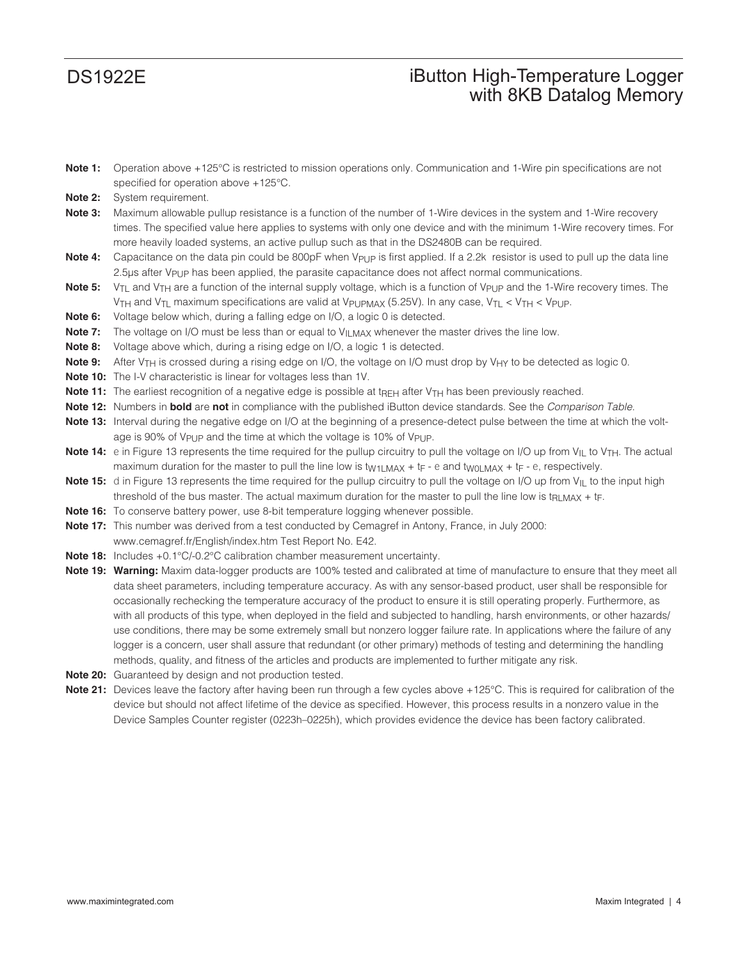- **Note 1:** Operation above +125°C is restricted to mission operations only. Communication and 1-Wire pin specifications are not specified for operation above +125°C.
- **Note 2:** System requirement.
- **Note 3:** Maximum allowable pullup resistance is a function of the number of 1-Wire devices in the system and 1-Wire recovery times. The specified value here applies to systems with only one device and with the minimum 1-Wire recovery times. For more heavily loaded systems, an active pullup such as that in the DS2480B can be required.
- **Note 4:** Capacitance on the data pin could be 800pF when V<sub>PUP</sub> is first applied. If a 2.2k resistor is used to pull up the data line 2.5µs after VPUP has been applied, the parasite capacitance does not affect normal communications.
- **Note 5:** V<sub>TL</sub> and V<sub>TH</sub> are a function of the internal supply voltage, which is a function of V<sub>PUP</sub> and the 1-Wire recovery times. The V<sub>TH</sub> and V<sub>TL</sub> maximum specifications are valid at V<sub>PUPMAX</sub> (5.25V). In any case, V<sub>TL</sub> < V<sub>TH</sub> < V<sub>PUP</sub>.
- **Note 6:** Voltage below which, during a falling edge on I/O, a logic 0 is detected.
- **Note 7:** The voltage on I/O must be less than or equal to V<sub>II MAX</sub> whenever the master drives the line low.
- **Note 8:** Voltage above which, during a rising edge on I/O, a logic 1 is detected.
- **Note 9:** After V<sub>TH</sub> is crossed during a rising edge on I/O, the voltage on I/O must drop by V<sub>HY</sub> to be detected as logic 0.
- **Note 10:** The I-V characteristic is linear for voltages less than 1V.
- **Note 11:** The earliest recognition of a negative edge is possible at t<sub>RFH</sub> after V<sub>TH</sub> has been previously reached.
- **Note 12:** Numbers in **bold** are **not** in compliance with the published iButton device standards. See the *Comparison Table*.
- **Note 13:** Interval during the negative edge on I/O at the beginning of a presence-detect pulse between the time at which the voltage is 90% of Vpup and the time at which the voltage is 10% of Vpup.
- **Note 14:** e in Figure 13 represents the time required for the pullup circuitry to pull the voltage on I/O up from V<sub>IL</sub> to V<sub>TH</sub>. The actual maximum duration for the master to pull the line low is  $\t{t_{W1}}$  MAX + tF - e and  $\t{t_{W0}}$  MAX + tF - e, respectively.
- **Note 15:** d in Figure 13 represents the time required for the pullup circuitry to pull the voltage on I/O up from V<sub>IL</sub> to the input high threshold of the bus master. The actual maximum duration for the master to pull the line low is t<sub>RLMAX</sub> + t<sub>F</sub>.
- **Note 16:** To conserve battery power, use 8-bit temperature logging whenever possible.
- **Note 17:** This number was derived from a test conducted by Cemagref in Antony, France, in July 2000: www.cemagref.fr/English/index.htm Test Report No. E42.
- **Note 18:** Includes +0.1°C/-0.2°C calibration chamber measurement uncertainty.
- **Note 19: Warning:** Maxim data-logger products are 100% tested and calibrated at time of manufacture to ensure that they meet all data sheet parameters, including temperature accuracy. As with any sensor-based product, user shall be responsible for occasionally rechecking the temperature accuracy of the product to ensure it is still operating properly. Furthermore, as with all products of this type, when deployed in the field and subjected to handling, harsh environments, or other hazards/ use conditions, there may be some extremely small but nonzero logger failure rate. In applications where the failure of any logger is a concern, user shall assure that redundant (or other primary) methods of testing and determining the handling methods, quality, and fitness of the articles and products are implemented to further mitigate any risk.
- **Note 20:** Guaranteed by design and not production tested.
- **Note 21:** Devices leave the factory after having been run through a few cycles above +125°C. This is required for calibration of the device but should not affect lifetime of the device as specified. However, this process results in a nonzero value in the Device Samples Counter register (0223h–0225h), which provides evidence the device has been factory calibrated.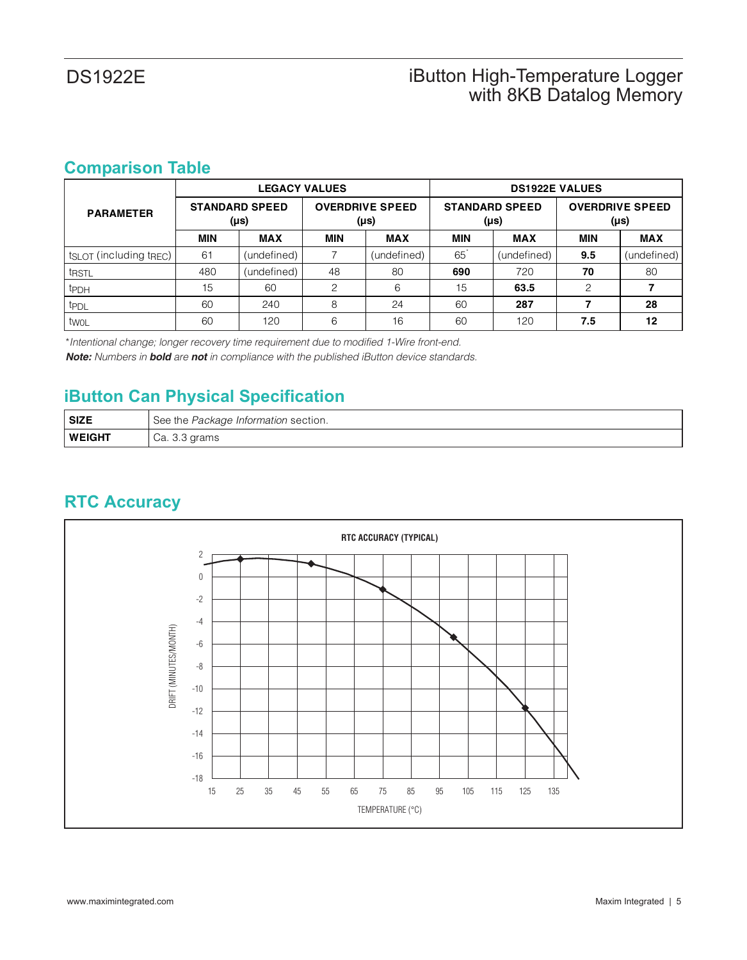## **Comparison Table**

|                          |     | <b>LEGACY VALUES</b>          |     |                                | <b>DS1922E VALUES</b> |             |                                |             |  |
|--------------------------|-----|-------------------------------|-----|--------------------------------|-----------------------|-------------|--------------------------------|-------------|--|
| <b>PARAMETER</b>         |     | <b>STANDARD SPEED</b><br>(µs) |     | <b>OVERDRIVE SPEED</b><br>(µs) | <b>STANDARD SPEED</b> | (µs)        | <b>OVERDRIVE SPEED</b><br>(µs) |             |  |
|                          | MIN | <b>MAX</b>                    | MIN | <b>MAX</b>                     | <b>MIN</b>            | <b>MAX</b>  | MIN                            | <b>MAX</b>  |  |
| $ts$ (including $t$ REC) | 61  | (undefined)                   |     | (undefined)                    | 65                    | (undefined) | 9.5                            | (undefined) |  |
| tRSTL                    | 480 | (undefined)                   | 48  | 80                             | 690                   | 720         | 70                             | 80          |  |
| t <sub>PDH</sub>         | 15  | 60                            | 2   | 6                              | 15                    | 63.5        | 2                              |             |  |
| t <sub>PDL</sub>         | 60  | 240                           | 8   | 24                             | 60                    | 287         |                                | 28          |  |
| twoL                     | 60  | 120                           | 6   | 16                             | 60                    | 120         | 7.5                            | 12          |  |

\**Intentional change; longer recovery time requirement due to modified 1-Wire front-end.*

*Note: Numbers in bold are not in compliance with the published iButton device standards.*

## **iButton Can Physical Specification**

| <b>SIZE</b>   | See the Package Information section. |
|---------------|--------------------------------------|
| <b>WEIGHT</b> | Ca. 3.3 grams                        |

## **RTC Accuracy**

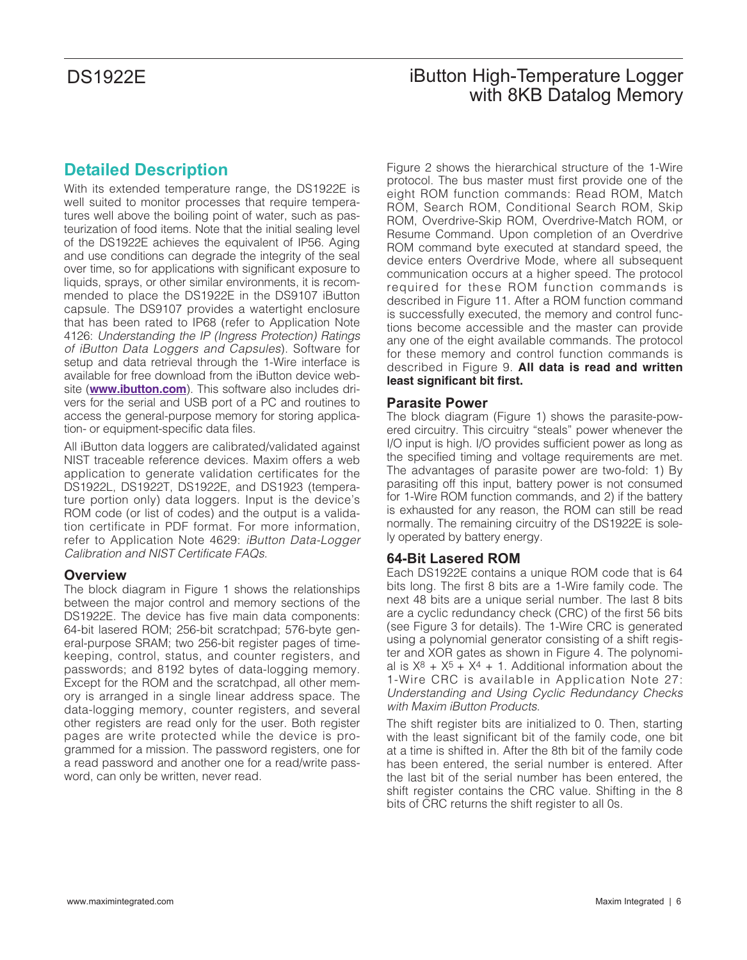# **Detailed Description**

With its extended temperature range, the DS1922E is well suited to monitor processes that require temperatures well above the boiling point of water, such as pasteurization of food items. Note that the initial sealing level of the DS1922E achieves the equivalent of IP56. Aging and use conditions can degrade the integrity of the seal over time, so for applications with significant exposure to liquids, sprays, or other similar environments, it is recommended to place the DS1922E in the DS9107 iButton capsule. The DS9107 provides a watertight enclosure that has been rated to IP68 (refer to Application Note 4126: *Understanding the IP (Ingress Protection) Ratings of iButton Data Loggers and Capsules*). Software for setup and data retrieval through the 1-Wire interface is available for free download from the iButton device website (**www.ibutton.com**). This software also includes drivers for the serial and USB port of a PC and routines to access the general-purpose memory for storing application- or equipment-specific data files.

All iButton data loggers are calibrated/validated against NIST traceable reference devices. Maxim offers a web application to generate validation certificates for the DS1922L, DS1922T, DS1922E, and DS1923 (temperature portion only) data loggers. Input is the device's ROM code (or list of codes) and the output is a validation certificate in PDF format. For more information, refer to Application Note 4629: *iButton Data-Logger Calibration and NIST Certificate FAQs*.

### **Overview**

The block diagram in Figure 1 shows the relationships between the major control and memory sections of the DS1922E. The device has five main data components: 64-bit lasered ROM; 256-bit scratchpad; 576-byte general-purpose SRAM; two 256-bit register pages of timekeeping, control, status, and counter registers, and passwords; and 8192 bytes of data-logging memory. Except for the ROM and the scratchpad, all other memory is arranged in a single linear address space. The data-logging memory, counter registers, and several other registers are read only for the user. Both register pages are write protected while the device is programmed for a mission. The password registers, one for a read password and another one for a read/write password, can only be written, never read.

Figure 2 shows the hierarchical structure of the 1-Wire protocol. The bus master must first provide one of the eight ROM function commands: Read ROM, Match ROM, Search ROM, Conditional Search ROM, Skip ROM, Overdrive-Skip ROM, Overdrive-Match ROM, or Resume Command. Upon completion of an Overdrive ROM command byte executed at standard speed, the device enters Overdrive Mode, where all subsequent communication occurs at a higher speed. The protocol required for these ROM function commands is described in Figure 11. After a ROM function command is successfully executed, the memory and control functions become accessible and the master can provide any one of the eight available commands. The protocol for these memory and control function commands is described in Figure 9. **All data is read and written least significant bit first.**

### **Parasite Power**

The block diagram (Figure 1) shows the parasite-powered circuitry. This circuitry "steals" power whenever the I/O input is high. I/O provides sufficient power as long as the specified timing and voltage requirements are met. The advantages of parasite power are two-fold: 1) By parasiting off this input, battery power is not consumed for 1-Wire ROM function commands, and 2) if the battery is exhausted for any reason, the ROM can still be read normally. The remaining circuitry of the DS1922E is solely operated by battery energy.

### **64-Bit Lasered ROM**

Each DS1922E contains a unique ROM code that is 64 bits long. The first 8 bits are a 1-Wire family code. The next 48 bits are a unique serial number. The last 8 bits are a cyclic redundancy check (CRC) of the first 56 bits (see Figure 3 for details). The 1-Wire CRC is generated using a polynomial generator consisting of a shift register and XOR gates as shown in Figure 4. The polynomial is  $X^8 + X^5 + X^4 + 1$ . Additional information about the 1-Wire CRC is available in Application Note 27: *Understanding and Using Cyclic Redundancy Checks with Maxim iButton Products*.

The shift register bits are initialized to 0. Then, starting with the least significant bit of the family code, one bit at a time is shifted in. After the 8th bit of the family code has been entered, the serial number is entered. After the last bit of the serial number has been entered, the shift register contains the CRC value. Shifting in the 8 bits of CRC returns the shift register to all 0s.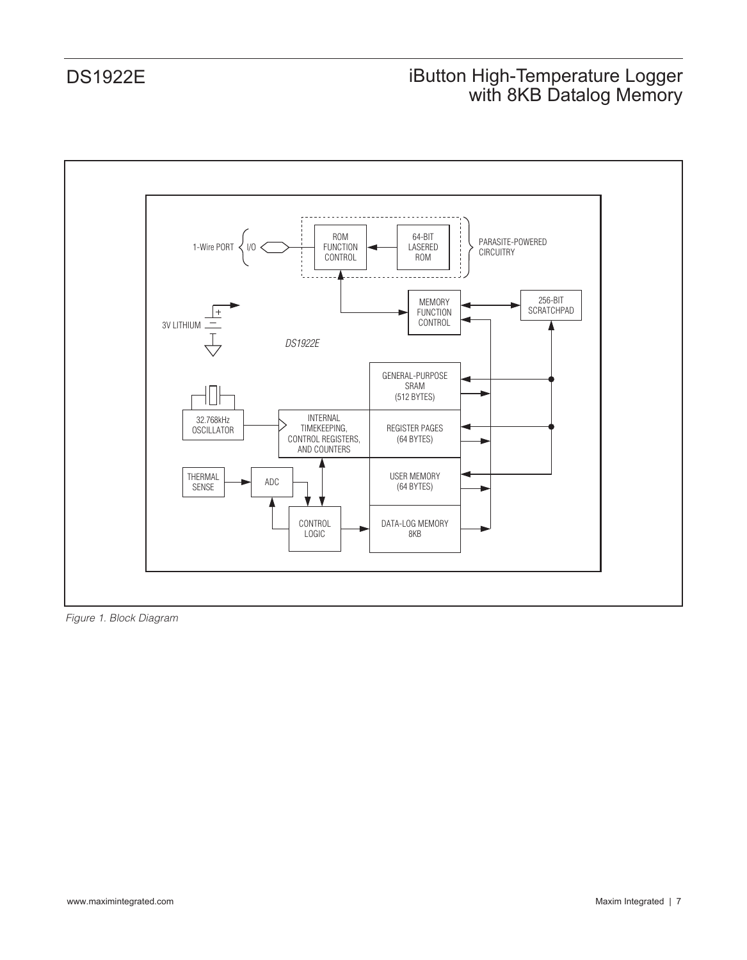

*Figure 1. Block Diagram*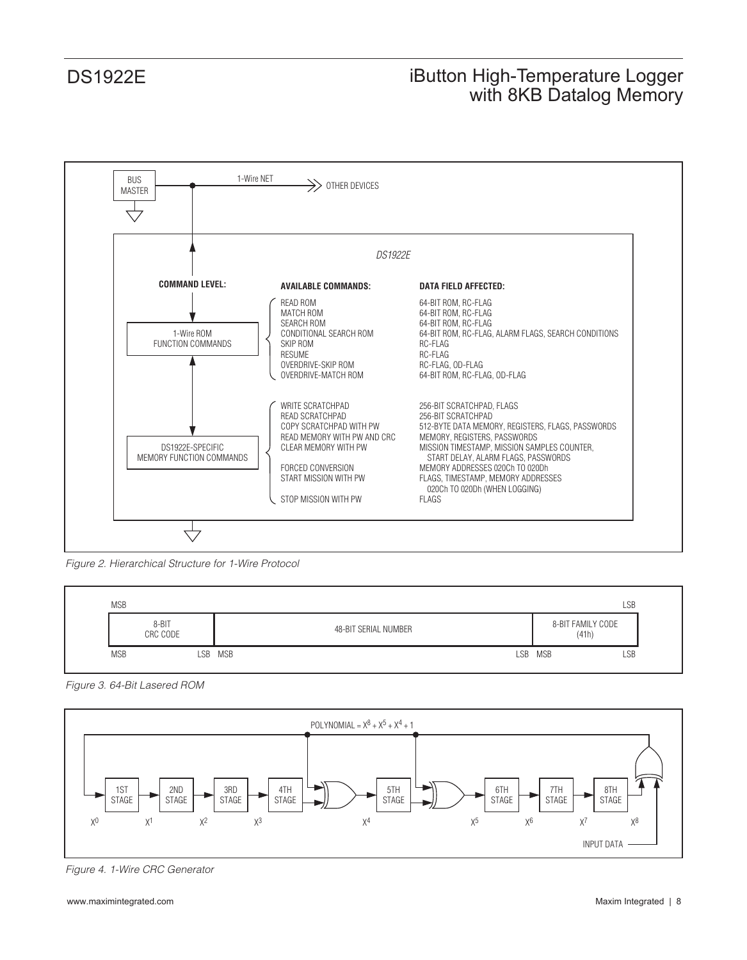

*Figure 2. Hierarchical Structure for 1-Wire Protocol*



*Figure 3. 64-Bit Lasered ROM*



*Figure 4. 1-Wire CRC Generator*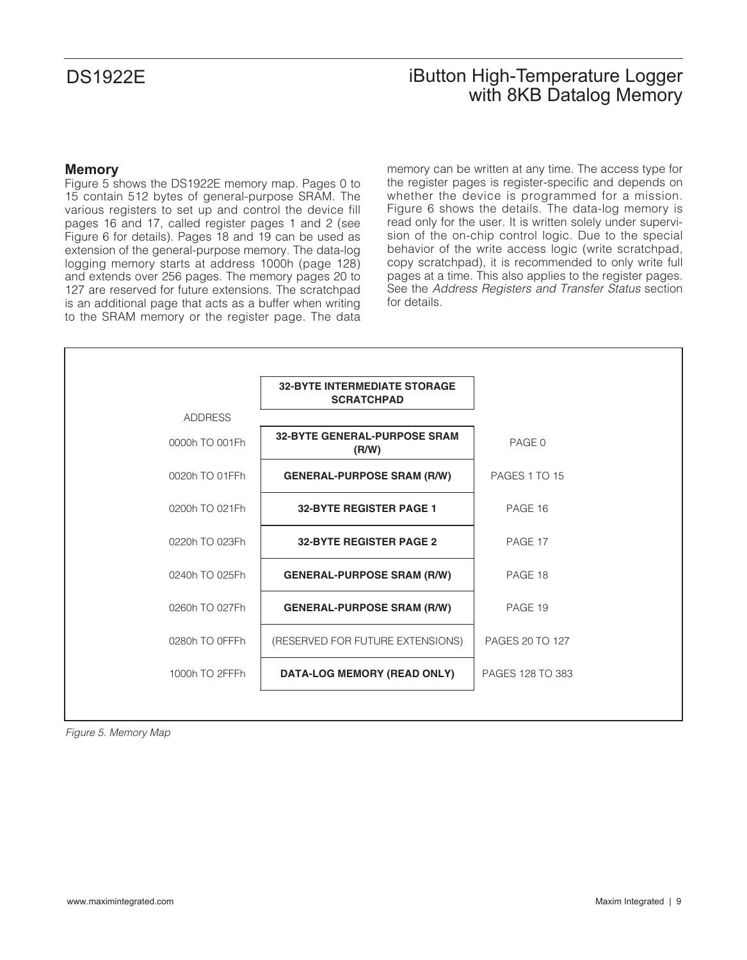### **Memory**

Figure 5 shows the DS1922E memory map. Pages 0 to 15 contain 512 bytes of general-purpose SRAM. The various registers to set up and control the device fill pages 16 and 17, called register pages 1 and 2 (see Figure 6 for details). Pages 18 and 19 can be used as extension of the general-purpose memory. The data-log logging memory starts at address 1000h (page 128) and extends over 256 pages. The memory pages 20 to 127 are reserved for future extensions. The scratchpad is an additional page that acts as a buffer when writing to the SRAM memory or the register page. The data

memory can be written at any time. The access type for the register pages is register-specific and depends on whether the device is programmed for a mission. Figure 6 shows the details. The data-log memory is read only for the user. It is written solely under supervision of the on-chip control logic. Due to the special behavior of the write access logic (write scratchpad, copy scratchpad), it is recommended to only write full pages at a time. This also applies to the register pages. See the *Address Registers and Transfer Status* section for details.



*Figure 5. Memory Map*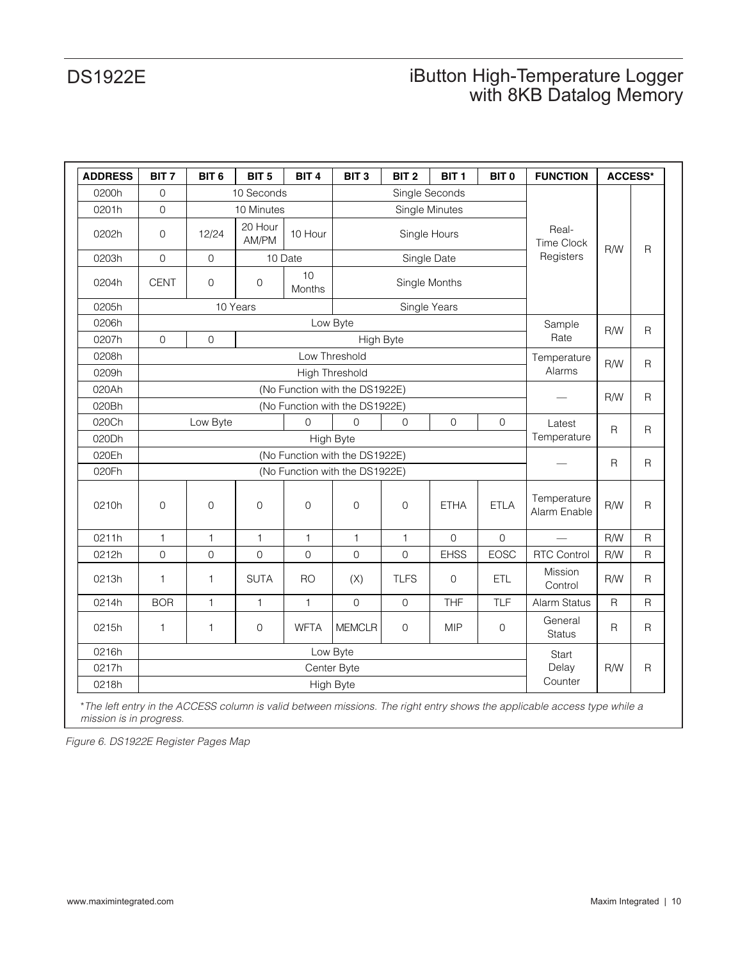| <b>ADDRESS</b> | BIT <sub>7</sub>               | BIT <sub>6</sub> | BIT <sub>5</sub> | BIT <sub>4</sub> | BIT <sub>3</sub>               | BIT <sub>2</sub> | BIT <sub>1</sub> | BIT <sub>0</sub> | <b>FUNCTION</b>             | ACCESS*      |              |
|----------------|--------------------------------|------------------|------------------|------------------|--------------------------------|------------------|------------------|------------------|-----------------------------|--------------|--------------|
| 0200h          | $\Omega$                       |                  | 10 Seconds       |                  |                                |                  | Single Seconds   |                  |                             |              |              |
| 0201h          | 0                              |                  | 10 Minutes       |                  |                                |                  | Single Minutes   |                  |                             |              |              |
| 0202h          | 0                              | 12/24            | 20 Hour<br>AM/PM | 10 Hour          |                                |                  | Single Hours     |                  | Real-<br><b>Time Clock</b>  |              | $\mathsf{R}$ |
| 0203h          | $\mathbf 0$                    | $\Omega$         |                  | 10 Date          |                                |                  | Single Date      |                  | Registers                   | <b>R/W</b>   |              |
| 0204h          | <b>CENT</b>                    | 0                | 0                | 10<br>Months     |                                |                  | Single Months    |                  |                             |              |              |
| 0205h          |                                |                  | 10 Years         |                  |                                |                  | Single Years     |                  |                             |              |              |
| 0206h          |                                |                  |                  |                  | Low Byte                       |                  |                  |                  | Sample                      | R/W          | $\mathsf{R}$ |
| 0207h          | 0                              | 0                |                  |                  | High Byte                      |                  |                  | Rate             |                             |              |              |
| 0208h          |                                |                  |                  |                  | Low Threshold                  |                  |                  |                  | Temperature                 | <b>R/W</b>   | R            |
| 0209h          |                                |                  |                  |                  | <b>High Threshold</b>          |                  |                  |                  | Alarms                      |              |              |
| 020Ah          | (No Function with the DS1922E) |                  |                  |                  |                                |                  |                  |                  |                             | R/W          | $\mathsf{R}$ |
| 020Bh          |                                |                  |                  |                  |                                |                  |                  |                  |                             |              |              |
| 020Ch          |                                | Low Byte         |                  | $\Omega$         | $\Omega$                       | $\mathbf 0$      | $\mathbf 0$      | Latest           | $\mathsf{R}$                | $\mathsf{R}$ |              |
| 020Dh          |                                |                  |                  |                  | High Byte                      |                  |                  | Temperature      |                             |              |              |
| 020Eh          |                                |                  |                  |                  | (No Function with the DS1922E) |                  |                  |                  |                             | R            | R            |
| 020Fh          |                                |                  |                  |                  | (No Function with the DS1922E) |                  |                  |                  |                             |              |              |
| 0210h          | $\overline{O}$                 | $\overline{0}$   | $\overline{O}$   | $\overline{0}$   | $\mathbf{0}$                   | $\mathbf 0$      | <b>ETHA</b>      | <b>ETLA</b>      | Temperature<br>Alarm Enable | <b>R/W</b>   | $\mathsf{R}$ |
| 0211h          | $\mathbf{1}$                   | $\mathbf{1}$     | $\mathbf{1}$     | $\mathbf{1}$     | 1                              | $\mathbf{1}$     | $\mathbf 0$      | $\mathbf 0$      |                             | R/W          | $\mathsf{R}$ |
| 0212h          | $\overline{O}$                 | 0                | $\overline{O}$   | 0                | $\mathbf{0}$                   | $\overline{0}$   | <b>EHSS</b>      | <b>EOSC</b>      | <b>RTC Control</b>          | R/W          | R            |
| 0213h          | 1                              | $\mathbf{1}$     | <b>SUTA</b>      | <b>RO</b>        | (X)                            | <b>TLFS</b>      | $\circ$          | <b>ETL</b>       | Mission<br>Control          | <b>R/W</b>   | $\mathsf{R}$ |
| 0214h          | <b>BOR</b>                     | $\mathbf{1}$     | $\mathbf{1}$     | $\mathbf{1}$     | $\Omega$                       | $\Omega$         | THF              | <b>TLF</b>       | Alarm Status                | $\mathsf{R}$ | $\mathsf{R}$ |
| 0215h          | $\mathbf{1}$                   | $\mathbf{1}$     | 0                | <b>WFTA</b>      | <b>MEMCLR</b>                  | $\mathbf 0$      | <b>MIP</b>       | $\mathbf 0$      | General<br><b>Status</b>    | $\mathsf{R}$ | $\mathsf{R}$ |
| 0216h          |                                |                  |                  |                  | Low Byte                       |                  |                  |                  | Start                       |              |              |
| 0217h          |                                |                  |                  |                  | Center Byte                    |                  |                  |                  | Delay                       | R/W          | $\mathsf{R}$ |
| 0218h          |                                |                  |                  |                  | High Byte                      |                  |                  |                  | Counter                     |              |              |

\*The left entry in the ACCESS column is valid between missions. The right entry shows the applicable access type while a *mission is in progress.*

*Figure 6. DS1922E Register Pages Map*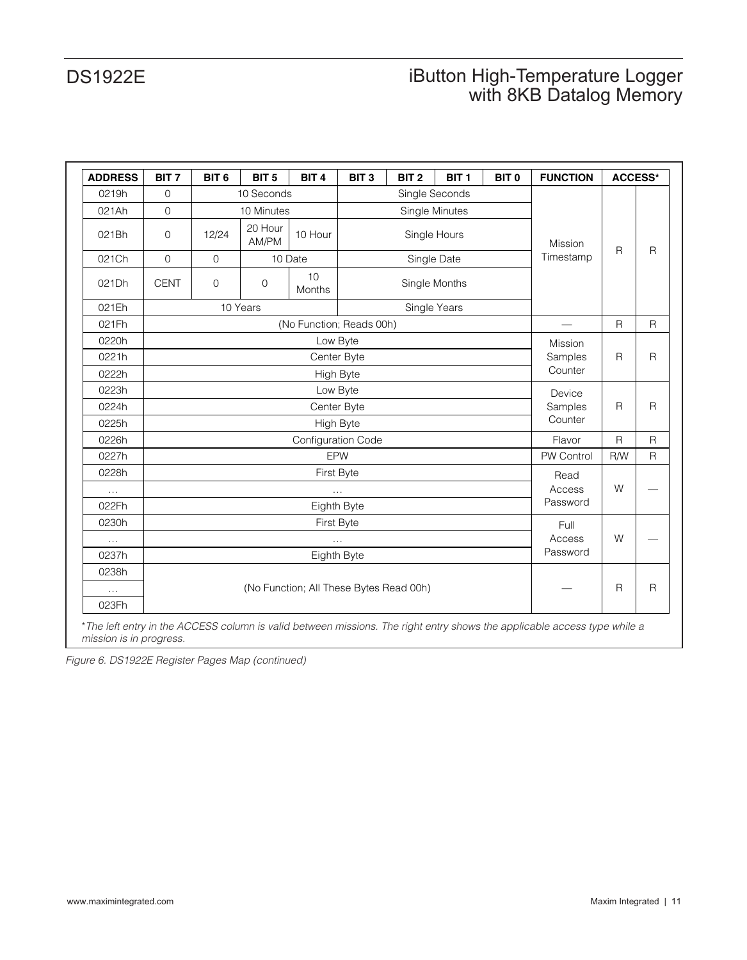| <b>ADDRESS</b> | BIT <sub>7</sub> | BIT <sub>6</sub>                        | BIT <sub>5</sub> | BIT <sub>4</sub>          | BIT <sub>3</sub> | BIT <sub>2</sub> | BIT <sub>1</sub> | BIT <sub>0</sub> | <b>FUNCTION</b>          |              | ACCESS*      |
|----------------|------------------|-----------------------------------------|------------------|---------------------------|------------------|------------------|------------------|------------------|--------------------------|--------------|--------------|
| 0219h          | $\Omega$         |                                         | 10 Seconds       |                           |                  | Single Seconds   |                  |                  |                          |              | $\mathsf{R}$ |
| 021Ah          | $\mathbf 0$      |                                         | 10 Minutes       |                           |                  | Single Minutes   |                  |                  |                          |              |              |
| 021Bh          | $\Omega$         | 12/24                                   | 20 Hour<br>AM/PM | 10 Hour                   |                  | Single Hours     |                  |                  | Mission                  |              |              |
| 021Ch          | $\Omega$         | 0                                       |                  | 10 Date                   |                  | Single Date      |                  |                  | Timestamp                | $\mathsf{R}$ |              |
| 021Dh          | <b>CENT</b>      | $\Omega$                                | $\Omega$         | 10<br>Months              | Single Months    |                  |                  |                  |                          |              |              |
| 021Eh          |                  |                                         | 10 Years         |                           |                  | Single Years     |                  |                  |                          |              |              |
| 021Fh          |                  |                                         |                  | (No Function; Reads 00h)  |                  |                  |                  |                  | $\overline{\phantom{0}}$ | $\mathsf{R}$ | R            |
| 0220h          |                  |                                         |                  | Low Byte                  |                  |                  |                  |                  | Mission                  |              |              |
| 0221h          |                  |                                         |                  | Center Byte               |                  |                  |                  |                  | Samples                  | $\mathsf{R}$ | R            |
| 0222h          |                  |                                         |                  | High Byte                 |                  |                  |                  | Counter          |                          |              |              |
| 0223h          |                  |                                         |                  | Low Byte                  |                  |                  |                  | Device           |                          |              |              |
| 0224h          |                  |                                         |                  | Center Byte               |                  |                  |                  | Samples          | $\mathsf{R}$             | R            |              |
| 0225h          |                  |                                         |                  | <b>High Byte</b>          |                  |                  | Counter          |                  |                          |              |              |
| 0226h          |                  |                                         |                  | <b>Configuration Code</b> |                  |                  |                  |                  | Flavor                   | $\mathsf{R}$ | R            |
| 0227h          |                  |                                         |                  | EPW                       |                  |                  |                  |                  | PW Control               | R/W          | R            |
| 0228h          |                  |                                         |                  | First Byte                |                  |                  |                  |                  | Read                     |              |              |
| $\cdots$       |                  |                                         |                  | $\cdots$                  |                  |                  |                  |                  | Access                   | W            |              |
| 022Fh          |                  |                                         |                  |                           | Eighth Byte      |                  |                  |                  | Password                 |              |              |
| 0230h          |                  |                                         |                  |                           | First Byte       |                  |                  |                  | Full                     |              |              |
| $\cdots$       |                  |                                         |                  | $\cdots$                  |                  |                  |                  |                  | Access                   | W            |              |
| 0237h          |                  |                                         |                  | Eighth Byte               |                  |                  |                  |                  | Password                 |              |              |
| 0238h          |                  |                                         |                  |                           |                  |                  |                  |                  |                          |              |              |
| $\cdots$       |                  | (No Function; All These Bytes Read 00h) |                  |                           |                  |                  |                  |                  | $\overline{R}$           | R            |              |
| 023Fh          |                  |                                         |                  |                           |                  |                  |                  |                  |                          |              |              |

*mission is in progress.*

*Figure 6. DS1922E Register Pages Map (continued)*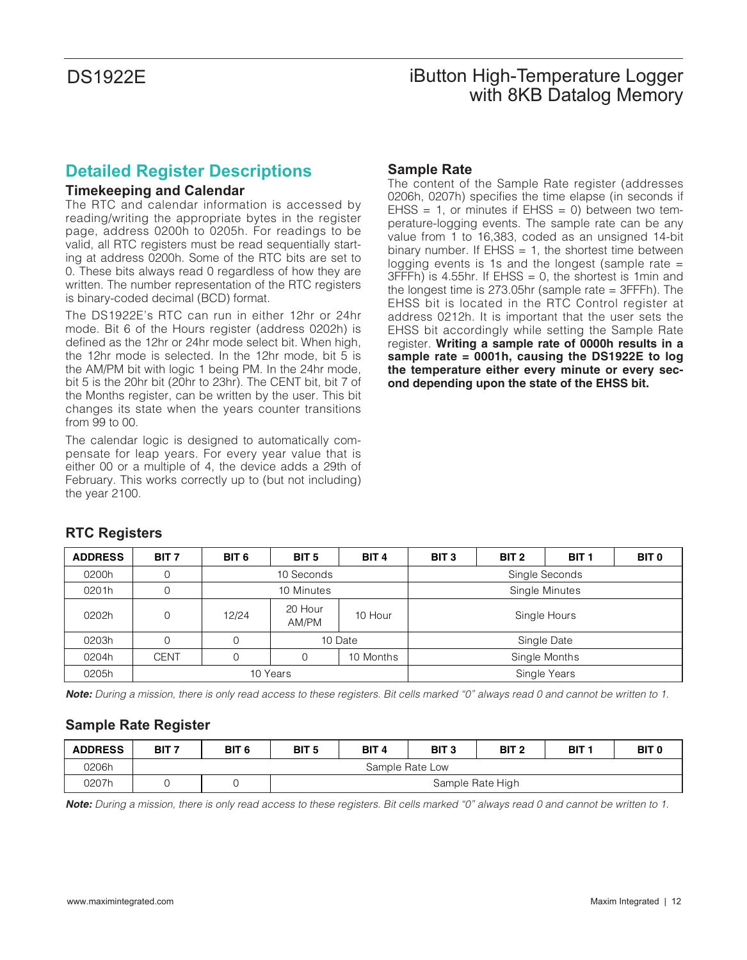## **Detailed Register Descriptions**

### **Timekeeping and Calendar**

The RTC and calendar information is accessed by reading/writing the appropriate bytes in the register page, address 0200h to 0205h. For readings to be valid, all RTC registers must be read sequentially starting at address 0200h. Some of the RTC bits are set to 0. These bits always read 0 regardless of how they are written. The number representation of the RTC registers is binary-coded decimal (BCD) format.

The DS1922E's RTC can run in either 12hr or 24hr mode. Bit 6 of the Hours register (address 0202h) is defined as the 12hr or 24hr mode select bit. When high, the 12hr mode is selected. In the 12hr mode, bit 5 is the AM/PM bit with logic 1 being PM. In the 24hr mode, bit 5 is the 20hr bit (20hr to 23hr). The CENT bit, bit 7 of the Months register, can be written by the user. This bit changes its state when the years counter transitions from 99 to 00.

The calendar logic is designed to automatically compensate for leap years. For every year value that is either 00 or a multiple of 4, the device adds a 29th of February. This works correctly up to (but not including) the year 2100.

## **Sample Rate**

The content of the Sample Rate register (addresses 0206h, 0207h) specifies the time elapse (in seconds if  $E$ HSS = 1, or minutes if  $E$ HSS = 0) between two temperature-logging events. The sample rate can be any value from 1 to 16,383, coded as an unsigned 14-bit binary number. If  $E$ HSS = 1, the shortest time between logging events is 1s and the longest (sample rate =  $3$ FFFh) is 4.55hr. If EHSS = 0, the shortest is 1 min and the longest time is 273.05hr (sample rate = 3FFFh). The EHSS bit is located in the RTC Control register at address 0212h. It is important that the user sets the EHSS bit accordingly while setting the Sample Rate register. **Writing a sample rate of 0000h results in a sample rate = 0001h, causing the DS1922E to log the temperature either every minute or every second depending upon the state of the EHSS bit.**

| <b>ADDRESS</b> | BIT <sub>7</sub> | BIT 6 | BIT <sub>5</sub> | BIT <sub>4</sub> | BIT <sub>3</sub> | BIT <sub>2</sub> | BIT <sub>1</sub> | <b>BIT 0</b> |  |
|----------------|------------------|-------|------------------|------------------|------------------|------------------|------------------|--------------|--|
| 0200h          | 0                |       | 10 Seconds       |                  |                  | Single Seconds   |                  |              |  |
| 0201h          | 0                |       | 10 Minutes       |                  | Single Minutes   |                  |                  |              |  |
| 0202h          | 0                | 12/24 | 20 Hour<br>AM/PM | 10 Hour          | Single Hours     |                  |                  |              |  |
| 0203h          | 0                | O     |                  | 10 Date          |                  | Single Date      |                  |              |  |
| 0204h          | <b>CENT</b>      |       | $\Omega$         | 10 Months        | Single Months    |                  |                  |              |  |
| 0205h          |                  |       | 10 Years         |                  | Single Years     |                  |                  |              |  |

### **RTC Registers**

Note: During a mission, there is only read access to these registers. Bit cells marked "0" always read 0 and cannot be written to 1.

### **Sample Rate Register**

| <b>ADDRESS</b> | BIT <sub>7</sub> | BIT 6           | BIT <sub>5</sub> | BIT <sub>4</sub> | BIT <sub>3</sub> | BIT <sub>2</sub> | BIT <sub>1</sub> | <b>BIT 0</b> |  |  |  |  |
|----------------|------------------|-----------------|------------------|------------------|------------------|------------------|------------------|--------------|--|--|--|--|
| 0206h          |                  | Sample Rate Low |                  |                  |                  |                  |                  |              |  |  |  |  |
| 0207h          |                  |                 | Sample Rate High |                  |                  |                  |                  |              |  |  |  |  |

**Note:** During a mission, there is only read access to these registers. Bit cells marked "0" always read 0 and cannot be written to 1.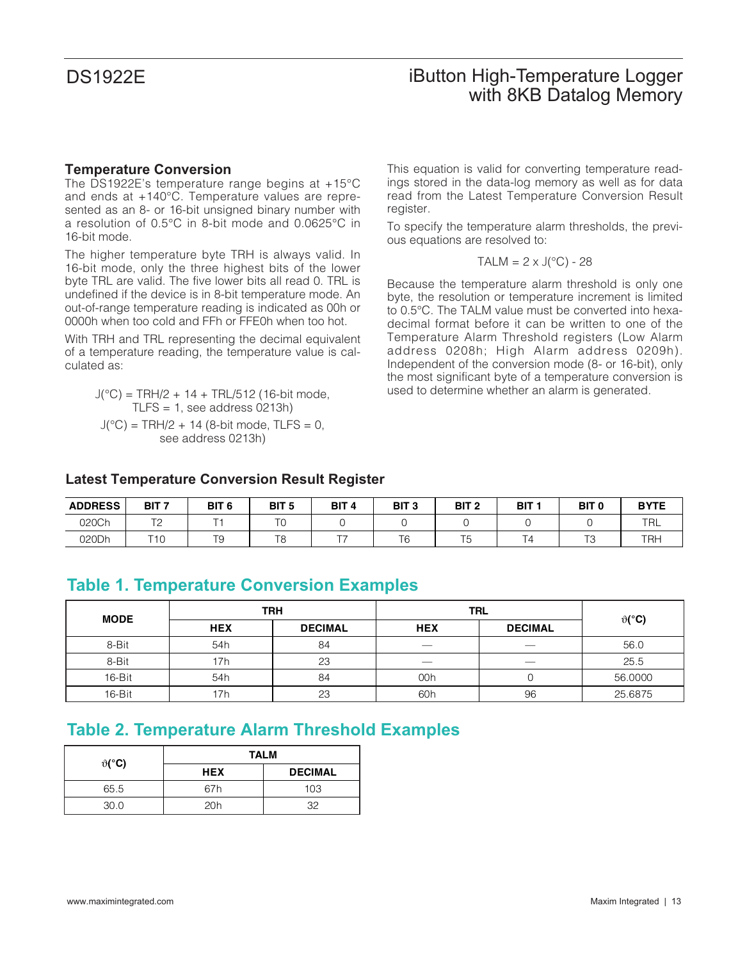### **Temperature Conversion**

The DS1922E's temperature range begins at +15°C and ends at +140°C. Temperature values are represented as an 8- or 16-bit unsigned binary number with a resolution of 0.5°C in 8-bit mode and 0.0625°C in 16-bit mode.

The higher temperature byte TRH is always valid. In 16-bit mode, only the three highest bits of the lower byte TRL are valid. The five lower bits all read 0. TRL is undefined if the device is in 8-bit temperature mode. An out-of-range temperature reading is indicated as 00h or 0000h when too cold and FFh or FFE0h when too hot.

With TRH and TRL representing the decimal equivalent of a temperature reading, the temperature value is calculated as:

 $J(^{\circ}C)$  = TRH/2 + 14 + TRL/512 (16-bit mode,  $TLFS = 1$ , see address 0213h)

 $J(^{\circ}C)$  = TRH/2 + 14 (8-bit mode, TLFS = 0, see address 0213h)

This equation is valid for converting temperature readings stored in the data-log memory as well as for data read from the Latest Temperature Conversion Result register.

To specify the temperature alarm thresholds, the previous equations are resolved to:

#### TALM =  $2 \times J$  (°C) - 28

Because the temperature alarm threshold is only one byte, the resolution or temperature increment is limited to 0.5°C. The TALM value must be converted into hexadecimal format before it can be written to one of the Temperature Alarm Threshold registers (Low Alarm address 0208h; High Alarm address 0209h). Independent of the conversion mode (8- or 16-bit), only the most significant byte of a temperature conversion is used to determine whether an alarm is generated.

### **Latest Temperature Conversion Result Register**

| <b>ADDRESS</b> | BIT <sub>7</sub>    | BIT <sub>6</sub> | BIT <sub>5</sub>   | BIT <sub>4</sub> | BIT <sub>3</sub> | BIT 2      | BIT <sub>1</sub>    | BIT <sub>0</sub> | <b>BYTE</b> |
|----------------|---------------------|------------------|--------------------|------------------|------------------|------------|---------------------|------------------|-------------|
| 020Ch          | $T^{\prime}$<br>. . | -                | $T^{\wedge}$<br>ιU |                  |                  |            |                     |                  | <b>TRL</b>  |
| 020Dh          | T A                 | TΩ<br>ت ا        | T <sub>8</sub>     | $- -$            | T <sub>6</sub>   | $ -$<br>∪ו | -<br>$\overline{4}$ | TΩ<br>◡          | <b>TRH</b>  |

## **Table 1. Temperature Conversion Examples**

| <b>MODE</b> | <b>TRH</b> |                |                          | <b>TRL</b>        |                  |  |  |
|-------------|------------|----------------|--------------------------|-------------------|------------------|--|--|
|             | <b>HEX</b> | <b>DECIMAL</b> | <b>HEX</b>               | <b>DECIMAL</b>    | $\vartheta$ (°C) |  |  |
| 8-Bit       | 54h        | 84             | $\overline{\phantom{a}}$ | $\hspace{0.05cm}$ | 56.0             |  |  |
| 8-Bit       | 17h        | 23             |                          |                   | 25.5             |  |  |
| $16-Bit$    | 54h        | 84             | 00h                      |                   | 56,0000          |  |  |
| $16-Bit$    | 17h        | 23             | 60h                      | 96                | 25.6875          |  |  |

## **Table 2. Temperature Alarm Threshold Examples**

| $\mathfrak{d}^{\circ}$ C) | <b>TALM</b> |                |  |  |  |
|---------------------------|-------------|----------------|--|--|--|
|                           | <b>HEX</b>  | <b>DECIMAL</b> |  |  |  |
| 65.5                      | 67h         | 103            |  |  |  |
| 30.0                      | 20h         | 32             |  |  |  |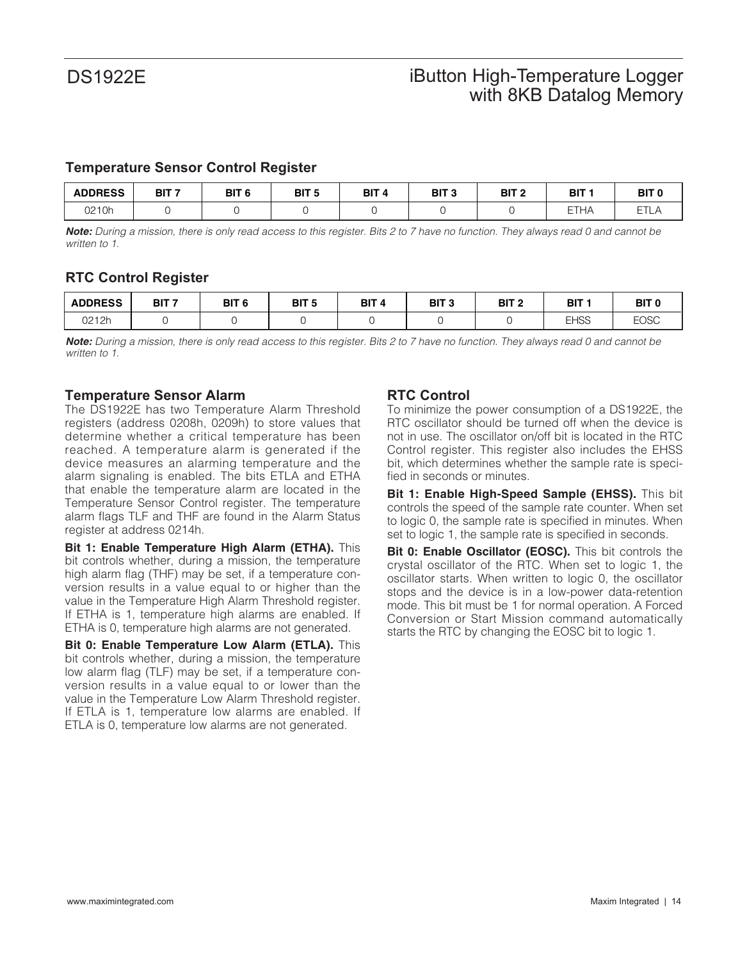### **Temperature Sensor Control Register**

| <b>ADDRESS</b> | BIT 7 | BIT <sub>6</sub> | BIT <sub>5</sub> | BIT. | BIT <sub>3</sub> | BIT <sub>2</sub> | BIT.               | BIT 0            |
|----------------|-------|------------------|------------------|------|------------------|------------------|--------------------|------------------|
| 0210h          |       |                  |                  |      |                  |                  | <b>CTI</b><br>EIHA | ETI.<br>└<br>- 1 |

Note: During a mission, there is only read access to this register. Bits 2 to 7 have no function. They always read 0 and cannot be *written to 1.*

### **RTC Control Register**

| <b>ADDRESS</b> | BIT <sub>7</sub> | BIT 6 | BIT <sub>5</sub> | BIT 4<br>д | BIT <sub>3</sub> | BIT 2 | <b>BIT</b>  | BIT '       |
|----------------|------------------|-------|------------------|------------|------------------|-------|-------------|-------------|
| 0212h          |                  |       |                  |            |                  |       | <b>EHSS</b> | <b>EOSC</b> |

Note: During a mission, there is only read access to this register. Bits 2 to 7 have no function. They always read 0 and cannot be *written to 1.*

#### **Temperature Sensor Alarm**

The DS1922E has two Temperature Alarm Threshold registers (address 0208h, 0209h) to store values that determine whether a critical temperature has been reached. A temperature alarm is generated if the device measures an alarming temperature and the alarm signaling is enabled. The bits ETLA and ETHA that enable the temperature alarm are located in the Temperature Sensor Control register. The temperature alarm flags TLF and THF are found in the Alarm Status register at address 0214h.

**Bit 1: Enable Temperature High Alarm (ETHA).** This bit controls whether, during a mission, the temperature high alarm flag (THF) may be set, if a temperature conversion results in a value equal to or higher than the value in the Temperature High Alarm Threshold register. If ETHA is 1, temperature high alarms are enabled. If ETHA is 0, temperature high alarms are not generated.

**Bit 0: Enable Temperature Low Alarm (ETLA).** This bit controls whether, during a mission, the temperature low alarm flag (TLF) may be set, if a temperature conversion results in a value equal to or lower than the value in the Temperature Low Alarm Threshold register. If ETLA is 1, temperature low alarms are enabled. If ETLA is 0, temperature low alarms are not generated.

### **RTC Control**

To minimize the power consumption of a DS1922E, the RTC oscillator should be turned off when the device is not in use. The oscillator on/off bit is located in the RTC Control register. This register also includes the EHSS bit, which determines whether the sample rate is specified in seconds or minutes.

**Bit 1: Enable High-Speed Sample (EHSS).** This bit controls the speed of the sample rate counter. When set to logic 0, the sample rate is specified in minutes. When set to logic 1, the sample rate is specified in seconds.

**Bit 0: Enable Oscillator (EOSC).** This bit controls the crystal oscillator of the RTC. When set to logic 1, the oscillator starts. When written to logic 0, the oscillator stops and the device is in a low-power data-retention mode. This bit must be 1 for normal operation. A Forced Conversion or Start Mission command automatically starts the RTC by changing the EOSC bit to logic 1.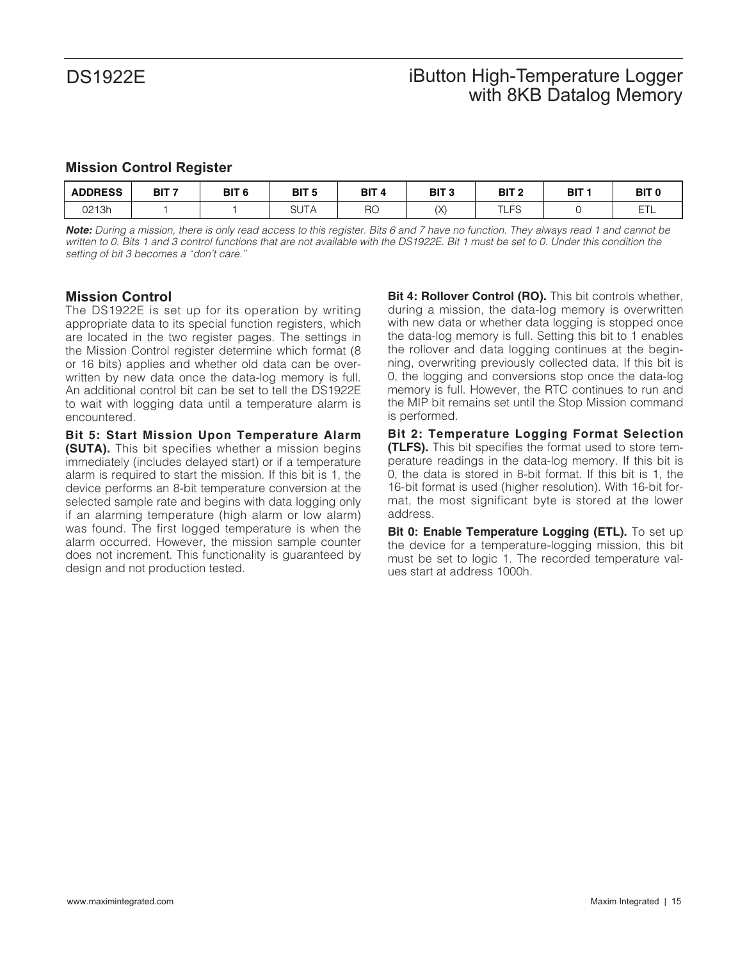### **Mission Control Register**

| <b>ADDRESS</b> | BIT 7 | BIT <sub>6</sub> | ם דומ<br>ы<br>- 11        | BIT <sub>4</sub> | BIT 3        | BIT <sub>2</sub>              | BIT | BIT (        |
|----------------|-------|------------------|---------------------------|------------------|--------------|-------------------------------|-----|--------------|
| 0213h          |       |                  | $\cap$ 1 $\top$<br>SU I P | <b>RC</b>        | $\sim$<br>いへ | $\overline{\phantom{0}}$<br>- |     | $-$<br>_ . _ |

Note: During a mission, there is only read access to this register. Bits 6 and 7 have no function. They always read 1 and cannot be written to 0. Bits 1 and 3 control functions that are not available with the DS1922E. Bit 1 must be set to 0. Under this condition the *setting of bit 3 becomes a "don't care."*

### **Mission Control**

The DS1922E is set up for its operation by writing appropriate data to its special function registers, which are located in the two register pages. The settings in the Mission Control register determine which format (8 or 16 bits) applies and whether old data can be overwritten by new data once the data-log memory is full. An additional control bit can be set to tell the DS1922E to wait with logging data until a temperature alarm is encountered.

**Bit 5: Start Mission Upon Temperature Alarm (SUTA).** This bit specifies whether a mission begins immediately (includes delayed start) or if a temperature alarm is required to start the mission. If this bit is 1, the device performs an 8-bit temperature conversion at the selected sample rate and begins with data logging only if an alarming temperature (high alarm or low alarm) was found. The first logged temperature is when the alarm occurred. However, the mission sample counter does not increment. This functionality is guaranteed by design and not production tested.

**Bit 4: Rollover Control (RO).** This bit controls whether, during a mission, the data-log memory is overwritten with new data or whether data logging is stopped once the data-log memory is full. Setting this bit to 1 enables the rollover and data logging continues at the beginning, overwriting previously collected data. If this bit is 0, the logging and conversions stop once the data-log memory is full. However, the RTC continues to run and the MIP bit remains set until the Stop Mission command is performed.

**Bit 2: Temperature Logging Format Selection (TLFS).** This bit specifies the format used to store temperature readings in the data-log memory. If this bit is 0, the data is stored in 8-bit format. If this bit is 1, the 16-bit format is used (higher resolution). With 16-bit format, the most significant byte is stored at the lower address.

**Bit 0: Enable Temperature Logging (ETL).** To set up the device for a temperature-logging mission, this bit must be set to logic 1. The recorded temperature values start at address 1000h.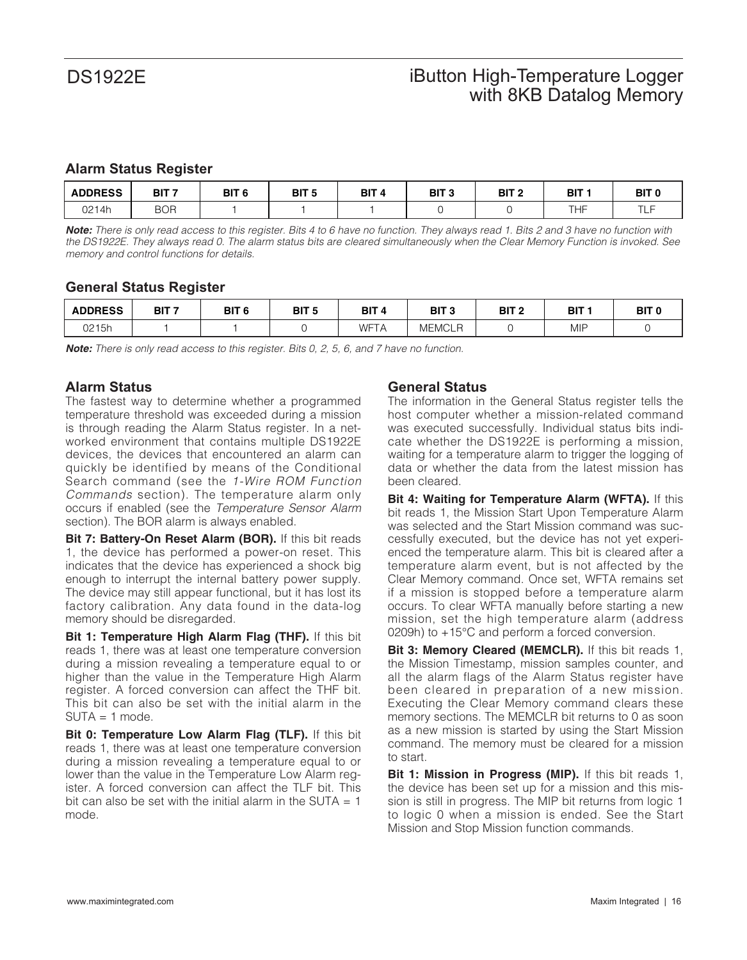## **Alarm Status Register**

| <b>ADDRESS</b> | BIT <sub>7</sub> | BIT <sub>6</sub> | BIT <sub>5</sub> | BIT <sub>4</sub> | BIT <sub>3</sub> | BIT <sub>2</sub><br>- | BIT: | BIT (                         |
|----------------|------------------|------------------|------------------|------------------|------------------|-----------------------|------|-------------------------------|
| 0214h          | <b>BOR</b>       |                  |                  |                  |                  |                       | THF  | $\overline{\phantom{m}}$<br>. |

Note: There is only read access to this register. Bits 4 to 6 have no function. They always read 1. Bits 2 and 3 have no function with the DS1922E. They always read 0. The alarm status bits are cleared simultaneously when the Clear Memory Function is invoked. See *memory and control functions for details.*

### **General Status Register**

| <b>ADDRESS</b> | BIT 7 | BIT <sub>6</sub> | BIT <sub>5</sub> | BIT 4<br>4       | BIT <sub>3</sub> | BIT <sub>2</sub> | BIT 1      | <b>BIT 0</b> |
|----------------|-------|------------------|------------------|------------------|------------------|------------------|------------|--------------|
| 0215h          |       |                  |                  | <b>WFT</b><br>ΊP | <b>MEMCLR</b>    |                  | <b>MIF</b> |              |

*Note: There is only read access to this register. Bits 0, 2, 5, 6, and 7 have no function.*

### **Alarm Status**

The fastest way to determine whether a programmed temperature threshold was exceeded during a mission is through reading the Alarm Status register. In a networked environment that contains multiple DS1922E devices, the devices that encountered an alarm can quickly be identified by means of the Conditional Search command (see the *1-Wire ROM Function Commands* section). The temperature alarm only occurs if enabled (see the *Temperature Sensor Alarm* section). The BOR alarm is always enabled.

**Bit 7: Battery-On Reset Alarm (BOR).** If this bit reads 1, the device has performed a power-on reset. This indicates that the device has experienced a shock big enough to interrupt the internal battery power supply. The device may still appear functional, but it has lost its factory calibration. Any data found in the data-log memory should be disregarded.

**Bit 1: Temperature High Alarm Flag (THF).** If this bit reads 1, there was at least one temperature conversion during a mission revealing a temperature equal to or higher than the value in the Temperature High Alarm register. A forced conversion can affect the THF bit. This bit can also be set with the initial alarm in the SUTA = 1 mode.

**Bit 0: Temperature Low Alarm Flag (TLF).** If this bit reads 1, there was at least one temperature conversion during a mission revealing a temperature equal to or lower than the value in the Temperature Low Alarm register. A forced conversion can affect the TLF bit. This bit can also be set with the initial alarm in the SUTA  $= 1$ mode.

### **General Status**

The information in the General Status register tells the host computer whether a mission-related command was executed successfully. Individual status bits indicate whether the DS1922E is performing a mission, waiting for a temperature alarm to trigger the logging of data or whether the data from the latest mission has been cleared.

**Bit 4: Waiting for Temperature Alarm (WFTA).** If this bit reads 1, the Mission Start Upon Temperature Alarm was selected and the Start Mission command was successfully executed, but the device has not yet experienced the temperature alarm. This bit is cleared after a temperature alarm event, but is not affected by the Clear Memory command. Once set, WFTA remains set if a mission is stopped before a temperature alarm occurs. To clear WFTA manually before starting a new mission, set the high temperature alarm (address 0209h) to +15°C and perform a forced conversion.

**Bit 3: Memory Cleared (MEMCLR).** If this bit reads 1, the Mission Timestamp, mission samples counter, and all the alarm flags of the Alarm Status register have been cleared in preparation of a new mission. Executing the Clear Memory command clears these memory sections. The MEMCLR bit returns to 0 as soon as a new mission is started by using the Start Mission command. The memory must be cleared for a mission to start.

**Bit 1: Mission in Progress (MIP).** If this bit reads 1, the device has been set up for a mission and this mission is still in progress. The MIP bit returns from logic 1 to logic 0 when a mission is ended. See the Start Mission and Stop Mission function commands.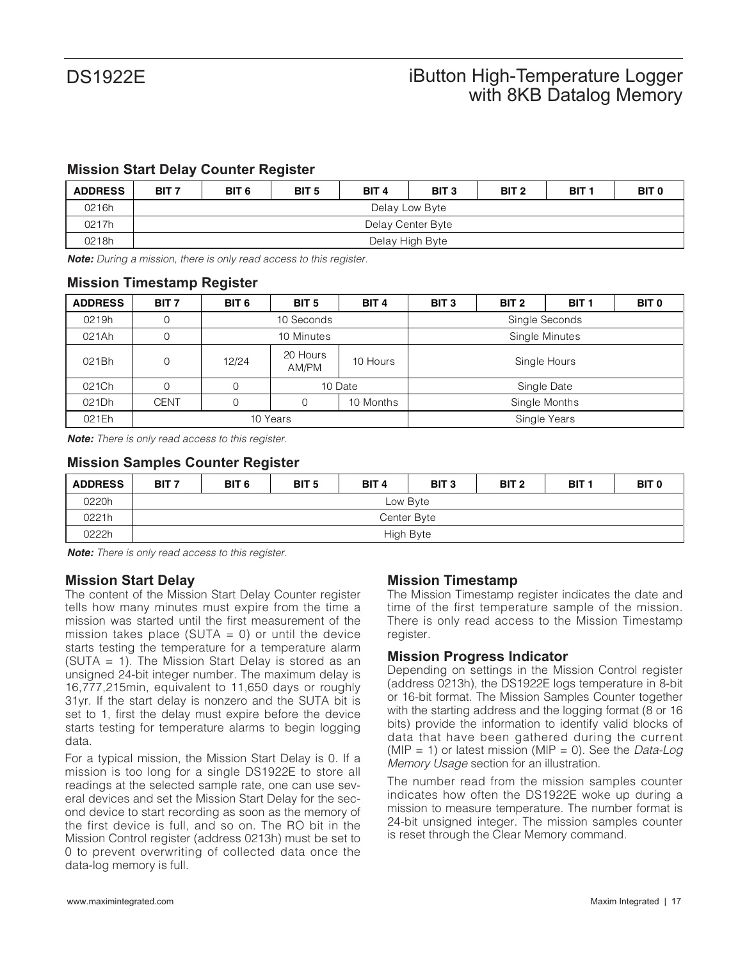## **Mission Start Delay Counter Register**

| <b>ADDRESS</b> | BIT <sub>7</sub> | BIT 6             | BIT <sub>5</sub> | BIT <sub>4</sub> | BIT <sub>3</sub> | BIT <sub>2</sub> | BIT <sub>1</sub> | <b>BIT 0</b> |  |  |
|----------------|------------------|-------------------|------------------|------------------|------------------|------------------|------------------|--------------|--|--|
| 0216h          |                  | Delay Low Byte    |                  |                  |                  |                  |                  |              |  |  |
| 0217h          |                  | Delay Center Byte |                  |                  |                  |                  |                  |              |  |  |
| 0218h          |                  | Delay High Byte   |                  |                  |                  |                  |                  |              |  |  |

*Note: During a mission, there is only read access to this register.*

#### **Mission Timestamp Register**

| <b>ADDRESS</b> | BIT <sub>7</sub> | BIT <sub>6</sub> | BIT <sub>5</sub>             | BIT <sub>4</sub> | BIT <sub>3</sub> | BIT <sub>0</sub> |  |  |
|----------------|------------------|------------------|------------------------------|------------------|------------------|------------------|--|--|
| 0219h          | 0                |                  | 10 Seconds                   |                  | Single Seconds   |                  |  |  |
| 021Ah          | 0                |                  | Single Minutes<br>10 Minutes |                  |                  |                  |  |  |
| 021Bh          | $\Omega$         | 12/24            | 20 Hours<br>AM/PM            | 10 Hours         | Single Hours     |                  |  |  |
| 021Ch          |                  | 0                |                              | 10 Date          | Single Date      |                  |  |  |
| 021Dh          | <b>CENT</b>      | 0                | 0                            | 10 Months        | Single Months    |                  |  |  |
| 021Eh          |                  |                  | 10 Years                     |                  | Single Years     |                  |  |  |

*Note: There is only read access to this register.*

### **Mission Samples Counter Register**

| <b>ADDRESS</b> | BIT <sub>7</sub> | BIT <sub>6</sub> | BIT <sub>5</sub> | BIT <sub>4</sub> | BIT <sub>3</sub> | BIT <sub>2</sub> | BIT <sub>1</sub> | <b>BIT 0</b> |  |  |
|----------------|------------------|------------------|------------------|------------------|------------------|------------------|------------------|--------------|--|--|
| 0220h          |                  |                  |                  |                  | Low Byte         |                  |                  |              |  |  |
| 0221h          |                  | Center Byte      |                  |                  |                  |                  |                  |              |  |  |
| 0222h          | High Byte        |                  |                  |                  |                  |                  |                  |              |  |  |

*Note: There is only read access to this register.*

### **Mission Start Delay**

The content of the Mission Start Delay Counter register tells how many minutes must expire from the time a mission was started until the first measurement of the mission takes place (SUTA  $= 0$ ) or until the device starts testing the temperature for a temperature alarm (SUTA = 1). The Mission Start Delay is stored as an unsigned 24-bit integer number. The maximum delay is 16,777,215min, equivalent to 11,650 days or roughly 31yr. If the start delay is nonzero and the SUTA bit is set to 1, first the delay must expire before the device starts testing for temperature alarms to begin logging data.

For a typical mission, the Mission Start Delay is 0. If a mission is too long for a single DS1922E to store all readings at the selected sample rate, one can use several devices and set the Mission Start Delay for the second device to start recording as soon as the memory of the first device is full, and so on. The RO bit in the Mission Control register (address 0213h) must be set to 0 to prevent overwriting of collected data once the data-log memory is full.

### **Mission Timestamp**

The Mission Timestamp register indicates the date and time of the first temperature sample of the mission. There is only read access to the Mission Timestamp register.

#### **Mission Progress Indicator**

Depending on settings in the Mission Control register (address 0213h), the DS1922E logs temperature in 8-bit or 16-bit format. The Mission Samples Counter together with the starting address and the logging format (8 or 16) bits) provide the information to identify valid blocks of data that have been gathered during the current (MIP = 1) or latest mission (MIP = 0). See the *Data-Log Memory Usage* section for an illustration.

The number read from the mission samples counter indicates how often the DS1922E woke up during a mission to measure temperature. The number format is 24-bit unsigned integer. The mission samples counter is reset through the Clear Memory command.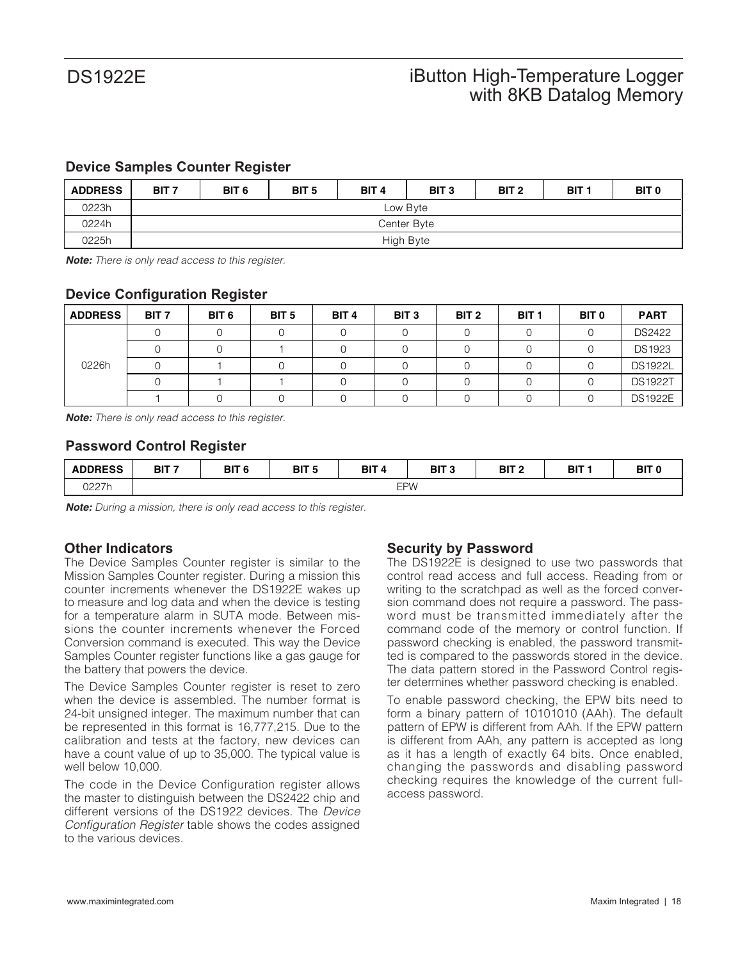## **Device Samples Counter Register**

| <b>ADDRESS</b> | BIT <sub>7</sub> | BIT <sub>6</sub> | BIT <sub>5</sub> | BIT <sub>4</sub> | BIT <sub>3</sub> | BIT <sub>2</sub> | BIT <sub>1</sub> | BIT 0 |  |  |  |
|----------------|------------------|------------------|------------------|------------------|------------------|------------------|------------------|-------|--|--|--|
| 0223h          |                  | Low Byte         |                  |                  |                  |                  |                  |       |  |  |  |
| 0224h          |                  | Center Byte      |                  |                  |                  |                  |                  |       |  |  |  |
| 0225h          | High Byte        |                  |                  |                  |                  |                  |                  |       |  |  |  |

*Note: There is only read access to this register.*

### **Device Configuration Register**

| <b>ADDRESS</b> | BIT <sub>7</sub> | BIT 6 | BIT <sub>5</sub> | BIT <sub>4</sub> | BIT <sub>3</sub> | BIT <sub>2</sub> | BIT <sub>1</sub> | <b>BIT 0</b> | <b>PART</b>    |
|----------------|------------------|-------|------------------|------------------|------------------|------------------|------------------|--------------|----------------|
|                |                  |       |                  |                  |                  |                  |                  |              | <b>DS2422</b>  |
|                |                  |       |                  |                  |                  |                  |                  |              | <b>DS1923</b>  |
| 0226h          |                  |       |                  |                  |                  |                  |                  |              | <b>DS1922L</b> |
|                |                  |       |                  |                  |                  |                  |                  |              | <b>DS1922T</b> |
|                |                  |       |                  |                  |                  |                  |                  |              | <b>DS1922E</b> |

*Note: There is only read access to this register.*

### **Password Control Register**

| <b>ADDRESS</b> | BIT <sub>7</sub> | BIT <sub>6</sub> | <b>BIT</b><br>$\sim$ | BIT 4<br>А | BIT <sub>3</sub> | DIT O<br>ы | BIT: | <b>BIT</b> |
|----------------|------------------|------------------|----------------------|------------|------------------|------------|------|------------|
| 0227h          | EPW              |                  |                      |            |                  |            |      |            |

*Note: During a mission, there is only read access to this register.*

### **Other Indicators**

The Device Samples Counter register is similar to the Mission Samples Counter register. During a mission this counter increments whenever the DS1922E wakes up to measure and log data and when the device is testing for a temperature alarm in SUTA mode. Between missions the counter increments whenever the Forced Conversion command is executed. This way the Device Samples Counter register functions like a gas gauge for the battery that powers the device.

The Device Samples Counter register is reset to zero when the device is assembled. The number format is 24-bit unsigned integer. The maximum number that can be represented in this format is 16,777,215. Due to the calibration and tests at the factory, new devices can have a count value of up to 35,000. The typical value is well below 10,000.

The code in the Device Configuration register allows the master to distinguish between the DS2422 chip and different versions of the DS1922 devices. The *Device Configuration Register* table shows the codes assigned to the various devices.

### **Security by Password**

The DS1922E is designed to use two passwords that control read access and full access. Reading from or writing to the scratchpad as well as the forced conversion command does not require a password. The password must be transmitted immediately after the command code of the memory or control function. If password checking is enabled, the password transmitted is compared to the passwords stored in the device. The data pattern stored in the Password Control register determines whether password checking is enabled.

To enable password checking, the EPW bits need to form a binary pattern of 10101010 (AAh). The default pattern of EPW is different from AAh. If the EPW pattern is different from AAh, any pattern is accepted as long as it has a length of exactly 64 bits. Once enabled, changing the passwords and disabling password checking requires the knowledge of the current fullaccess password.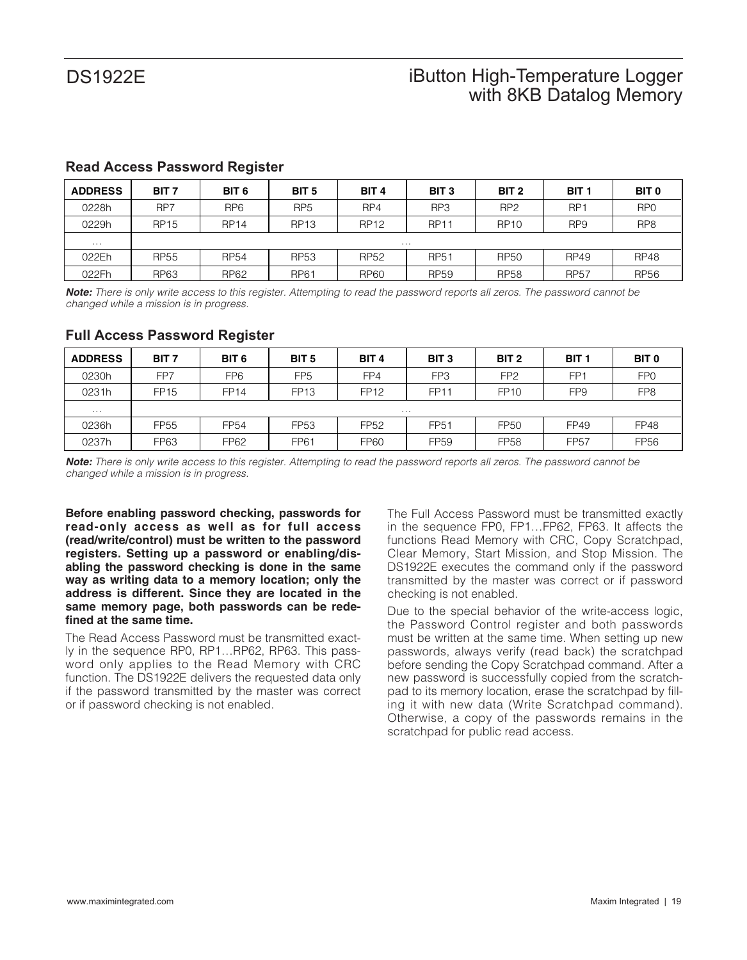| <b>ADDRESS</b> | BIT <sub>7</sub> | BIT <sub>6</sub> | BIT <sub>5</sub> | BIT <sub>4</sub> | BIT <sub>3</sub> | BIT <sub>2</sub> | BIT <sub>1</sub> | <b>BIT 0</b>    |
|----------------|------------------|------------------|------------------|------------------|------------------|------------------|------------------|-----------------|
| 0228h          | RP7              | RP <sub>6</sub>  | RP <sub>5</sub>  | RP4              | RP3              | RP <sub>2</sub>  | RP <sub>1</sub>  | RP <sub>0</sub> |
| 0229h          | <b>RP15</b>      | <b>RP14</b>      | <b>RP13</b>      | <b>RP12</b>      | <b>RP11</b>      | <b>RP10</b>      | RP <sub>9</sub>  | RP <sub>8</sub> |
| $\cdots$       |                  |                  |                  | $\cdots$         |                  |                  |                  |                 |
| 022Eh          | <b>RP55</b>      | <b>RP54</b>      | <b>RP53</b>      | <b>RP52</b>      | <b>RP51</b>      | <b>RP50</b>      | <b>RP49</b>      | <b>RP48</b>     |
| 022Fh          | <b>RP63</b>      | <b>RP62</b>      | <b>RP61</b>      | <b>RP60</b>      | <b>RP59</b>      | <b>RP58</b>      | <b>RP57</b>      | <b>RP56</b>     |

### **Read Access Password Register**

Note: There is only write access to this register. Attempting to read the password reports all zeros. The password cannot be *changed while a mission is in progress.*

#### **Full Access Password Register**

| <b>ADDRESS</b> | BIT <sub>7</sub> | BIT <sub>6</sub> | BIT <sub>5</sub> | BIT <sub>4</sub> | BIT <sub>3</sub> | BIT <sub>2</sub> | BIT <sub>1</sub> | <b>BIT 0</b>    |
|----------------|------------------|------------------|------------------|------------------|------------------|------------------|------------------|-----------------|
| 0230h          | FP7              | FP <sub>6</sub>  | FP <sub>5</sub>  | FP4              | FP3              | FP <sub>2</sub>  | FP <sub>1</sub>  | FP <sub>0</sub> |
| 0231h          | FP15             | <b>FP14</b>      | FP13             | FP12             | <b>FP11</b>      | FP <sub>10</sub> | FP <sub>9</sub>  | FP <sub>8</sub> |
| $\cdots$       | .                |                  |                  |                  |                  |                  |                  |                 |
| 0236h          | FP <sub>55</sub> | <b>FP54</b>      | FP53             | <b>FP52</b>      | FP51             | <b>FP50</b>      | FP49             | <b>FP48</b>     |
| 0237h          | FP63             | FP62             | FP61             | <b>FP60</b>      | FP59             | <b>FP58</b>      | <b>FP57</b>      | <b>FP56</b>     |

Note: There is only write access to this register. Attempting to read the password reports all zeros. The password cannot be *changed while a mission is in progress.*

**Before enabling password checking, passwords for read-only access as well as for full access (read/write/control) must be written to the password registers. Setting up a password or enabling/disabling the password checking is done in the same way as writing data to a memory location; only the address is different. Since they are located in the same memory page, both passwords can be redefined at the same time.**

The Read Access Password must be transmitted exactly in the sequence RP0, RP1…RP62, RP63. This password only applies to the Read Memory with CRC function. The DS1922E delivers the requested data only if the password transmitted by the master was correct or if password checking is not enabled.

The Full Access Password must be transmitted exactly in the sequence FP0, FP1…FP62, FP63. It affects the functions Read Memory with CRC, Copy Scratchpad, Clear Memory, Start Mission, and Stop Mission. The DS1922E executes the command only if the password transmitted by the master was correct or if password checking is not enabled.

Due to the special behavior of the write-access logic, the Password Control register and both passwords must be written at the same time. When setting up new passwords, always verify (read back) the scratchpad before sending the Copy Scratchpad command. After a new password is successfully copied from the scratchpad to its memory location, erase the scratchpad by filling it with new data (Write Scratchpad command). Otherwise, a copy of the passwords remains in the scratchpad for public read access.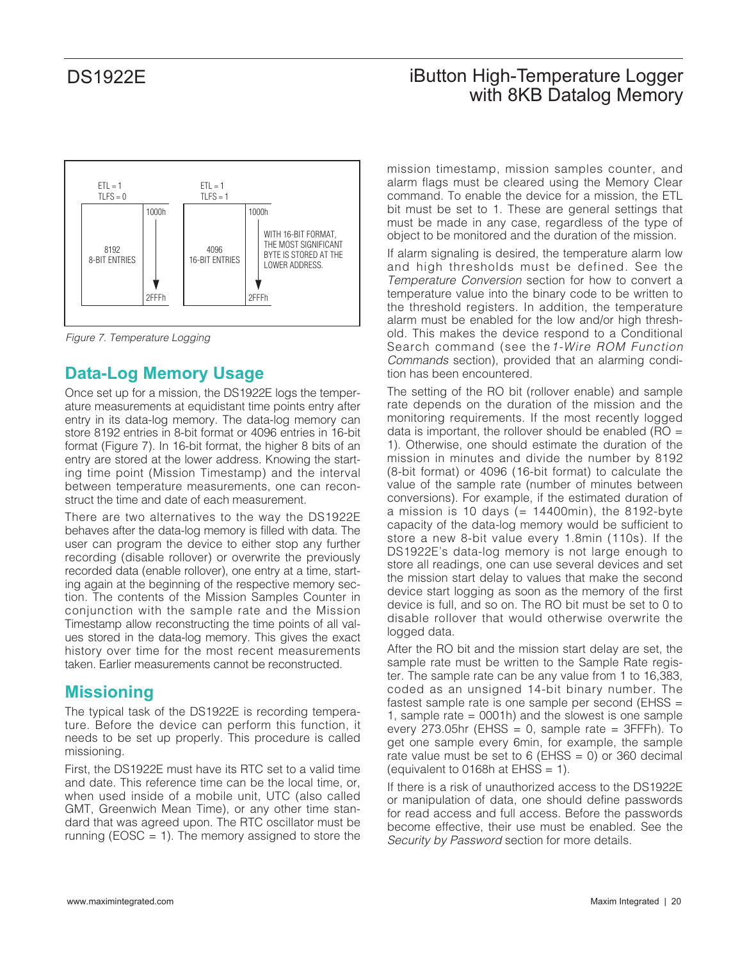

*Figure 7. Temperature Logging*

# **Data-Log Memory Usage**

Once set up for a mission, the DS1922E logs the temperature measurements at equidistant time points entry after entry in its data-log memory. The data-log memory can store 8192 entries in 8-bit format or 4096 entries in 16-bit format (Figure 7). In 16-bit format, the higher 8 bits of an entry are stored at the lower address. Knowing the starting time point (Mission Timestamp) and the interval between temperature measurements, one can reconstruct the time and date of each measurement.

There are two alternatives to the way the DS1922E behaves after the data-log memory is filled with data. The user can program the device to either stop any further recording (disable rollover) or overwrite the previously recorded data (enable rollover), one entry at a time, starting again at the beginning of the respective memory section. The contents of the Mission Samples Counter in conjunction with the sample rate and the Mission Timestamp allow reconstructing the time points of all values stored in the data-log memory. This gives the exact history over time for the most recent measurements taken. Earlier measurements cannot be reconstructed.

## **Missioning**

The typical task of the DS1922E is recording temperature. Before the device can perform this function, it needs to be set up properly. This procedure is called missioning.

First, the DS1922E must have its RTC set to a valid time and date. This reference time can be the local time, or, when used inside of a mobile unit, UTC (also called GMT, Greenwich Mean Time), or any other time standard that was agreed upon. The RTC oscillator must be running ( $EOSC = 1$ ). The memory assigned to store the mission timestamp, mission samples counter, and alarm flags must be cleared using the Memory Clear command. To enable the device for a mission, the ETL bit must be set to 1. These are general settings that must be made in any case, regardless of the type of object to be monitored and the duration of the mission.

If alarm signaling is desired, the temperature alarm low and high thresholds must be defined. See the *Temperature Conversion* section for how to convert a temperature value into the binary code to be written to the threshold registers. In addition, the temperature alarm must be enabled for the low and/or high threshold. This makes the device respond to a Conditional Search command (see the*1-Wire ROM Function Commands* section), provided that an alarming condition has been encountered.

The setting of the RO bit (rollover enable) and sample rate depends on the duration of the mission and the monitoring requirements. If the most recently logged data is important, the rollover should be enabled (RO  $=$ 1). Otherwise, one should estimate the duration of the mission in minutes and divide the number by 8192 (8-bit format) or 4096 (16-bit format) to calculate the value of the sample rate (number of minutes between conversions). For example, if the estimated duration of a mission is 10 days  $(= 14400 \text{min})$ , the 8192-byte capacity of the data-log memory would be sufficient to store a new 8-bit value every 1.8min (110s). If the DS1922E's data-log memory is not large enough to store all readings, one can use several devices and set the mission start delay to values that make the second device start logging as soon as the memory of the first device is full, and so on. The RO bit must be set to 0 to disable rollover that would otherwise overwrite the logged data.

After the RO bit and the mission start delay are set, the sample rate must be written to the Sample Rate register. The sample rate can be any value from 1 to 16,383, coded as an unsigned 14-bit binary number. The fastest sample rate is one sample per second (EHSS = 1, sample rate = 0001h) and the slowest is one sample every 273.05hr ( $E$ HSS = 0, sample rate = 3FFFh). To get one sample every 6min, for example, the sample rate value must be set to  $6$  (EHSS = 0) or 360 decimal (equivalent to  $0168h$  at EHSS = 1).

If there is a risk of unauthorized access to the DS1922E or manipulation of data, one should define passwords for read access and full access. Before the passwords become effective, their use must be enabled. See the *Security by Password* section for more details.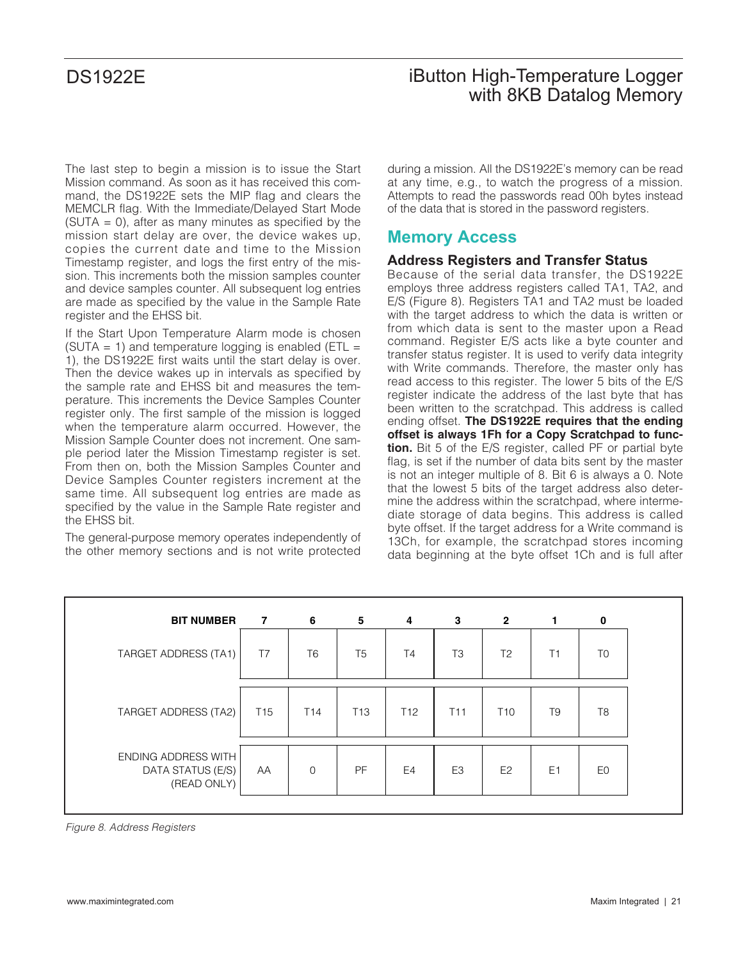The last step to begin a mission is to issue the Start Mission command. As soon as it has received this command, the DS1922E sets the MIP flag and clears the MEMCLR flag. With the Immediate/Delayed Start Mode  $(SUTA = 0)$ , after as many minutes as specified by the mission start delay are over, the device wakes up, copies the current date and time to the Mission Timestamp register, and logs the first entry of the mission. This increments both the mission samples counter and device samples counter. All subsequent log entries are made as specified by the value in the Sample Rate register and the EHSS bit.

If the Start Upon Temperature Alarm mode is chosen  $(SUTA = 1)$  and temperature logging is enabled (ETL = 1), the DS1922E first waits until the start delay is over. Then the device wakes up in intervals as specified by the sample rate and EHSS bit and measures the temperature. This increments the Device Samples Counter register only. The first sample of the mission is logged when the temperature alarm occurred. However, the Mission Sample Counter does not increment. One sample period later the Mission Timestamp register is set. From then on, both the Mission Samples Counter and Device Samples Counter registers increment at the same time. All subsequent log entries are made as specified by the value in the Sample Rate register and the EHSS bit.

The general-purpose memory operates independently of the other memory sections and is not write protected

during a mission. All the DS1922E's memory can be read at any time, e.g., to watch the progress of a mission. Attempts to read the passwords read 00h bytes instead of the data that is stored in the password registers.

## **Memory Access**

### **Address Registers and Transfer Status**

Because of the serial data transfer, the DS1922E employs three address registers called TA1, TA2, and E/S (Figure 8). Registers TA1 and TA2 must be loaded with the target address to which the data is written or from which data is sent to the master upon a Read command. Register E/S acts like a byte counter and transfer status register. It is used to verify data integrity with Write commands. Therefore, the master only has read access to this register. The lower 5 bits of the E/S register indicate the address of the last byte that has been written to the scratchpad. This address is called ending offset. **The DS1922E requires that the ending offset is always 1Fh for a Copy Scratchpad to function.** Bit 5 of the E/S register, called PF or partial byte flag, is set if the number of data bits sent by the master is not an integer multiple of 8. Bit 6 is always a 0. Note that the lowest 5 bits of the target address also determine the address within the scratchpad, where intermediate storage of data begins. This address is called byte offset. If the target address for a Write command is 13Ch, for example, the scratchpad stores incoming data beginning at the byte offset 1Ch and is full after

| <b>BIT NUMBER</b>                                       | 7               | 6               | 5               | $\overline{4}$  | 3               | $\overline{2}$  | 1              | 0              |
|---------------------------------------------------------|-----------------|-----------------|-----------------|-----------------|-----------------|-----------------|----------------|----------------|
| TARGET ADDRESS (TA1)                                    | T7              | T <sub>6</sub>  | T <sub>5</sub>  | <b>T4</b>       | T <sub>3</sub>  | T <sub>2</sub>  | T1             | T <sub>0</sub> |
| TARGET ADDRESS (TA2)                                    | T <sub>15</sub> | T <sub>14</sub> | T <sub>13</sub> | T <sub>12</sub> | T <sub>11</sub> | T <sub>10</sub> | T <sub>9</sub> | T <sub>8</sub> |
| ENDING ADDRESS WITH<br>DATA STATUS (E/S)<br>(READ ONLY) | AA              | $\Omega$        | PF              | E <sub>4</sub>  | E <sub>3</sub>  | E <sub>2</sub>  | E1             | E <sub>0</sub> |

*Figure 8. Address Registers*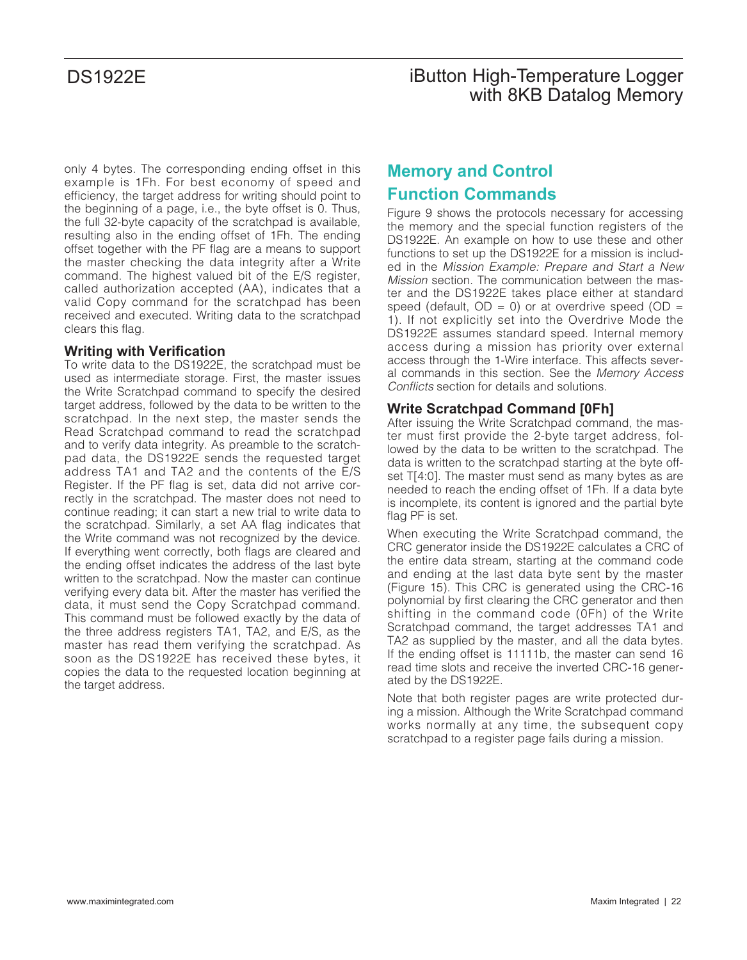only 4 bytes. The corresponding ending offset in this example is 1Fh. For best economy of speed and efficiency, the target address for writing should point to the beginning of a page, i.e., the byte offset is 0. Thus, the full 32-byte capacity of the scratchpad is available, resulting also in the ending offset of 1Fh. The ending offset together with the PF flag are a means to support the master checking the data integrity after a Write command. The highest valued bit of the E/S register, called authorization accepted (AA), indicates that a valid Copy command for the scratchpad has been received and executed. Writing data to the scratchpad clears this flag.

### **Writing with Verification**

To write data to the DS1922E, the scratchpad must be used as intermediate storage. First, the master issues the Write Scratchpad command to specify the desired target address, followed by the data to be written to the scratchpad. In the next step, the master sends the Read Scratchpad command to read the scratchpad and to verify data integrity. As preamble to the scratchpad data, the DS1922E sends the requested target address TA1 and TA2 and the contents of the E/S Register. If the PF flag is set, data did not arrive correctly in the scratchpad. The master does not need to continue reading; it can start a new trial to write data to the scratchpad. Similarly, a set AA flag indicates that the Write command was not recognized by the device. If everything went correctly, both flags are cleared and the ending offset indicates the address of the last byte written to the scratchpad. Now the master can continue verifying every data bit. After the master has verified the data, it must send the Copy Scratchpad command. This command must be followed exactly by the data of the three address registers TA1, TA2, and E/S, as the master has read them verifying the scratchpad. As soon as the DS1922E has received these bytes, it copies the data to the requested location beginning at the target address.

# **Memory and Control Function Commands**

Figure 9 shows the protocols necessary for accessing the memory and the special function registers of the DS1922E. An example on how to use these and other functions to set up the DS1922E for a mission is included in the *Mission Example: Prepare and Start a New Mission* section. The communication between the master and the DS1922E takes place either at standard speed (default,  $OD = 0$ ) or at overdrive speed ( $OD = 0$ 1). If not explicitly set into the Overdrive Mode the DS1922E assumes standard speed. Internal memory access during a mission has priority over external access through the 1-Wire interface. This affects several commands in this section. See the *Memory Access Conflicts* section for details and solutions.

## **Write Scratchpad Command [0Fh]**

After issuing the Write Scratchpad command, the master must first provide the 2-byte target address, followed by the data to be written to the scratchpad. The data is written to the scratchpad starting at the byte offset T[4:0]. The master must send as many bytes as are needed to reach the ending offset of 1Fh. If a data byte is incomplete, its content is ignored and the partial byte flag PF is set.

When executing the Write Scratchpad command, the CRC generator inside the DS1922E calculates a CRC of the entire data stream, starting at the command code and ending at the last data byte sent by the master (Figure 15). This CRC is generated using the CRC-16 polynomial by first clearing the CRC generator and then shifting in the command code (0Fh) of the Write Scratchpad command, the target addresses TA1 and TA2 as supplied by the master, and all the data bytes. If the ending offset is 11111b, the master can send 16 read time slots and receive the inverted CRC-16 generated by the DS1922E.

Note that both register pages are write protected during a mission. Although the Write Scratchpad command works normally at any time, the subsequent copy scratchpad to a register page fails during a mission.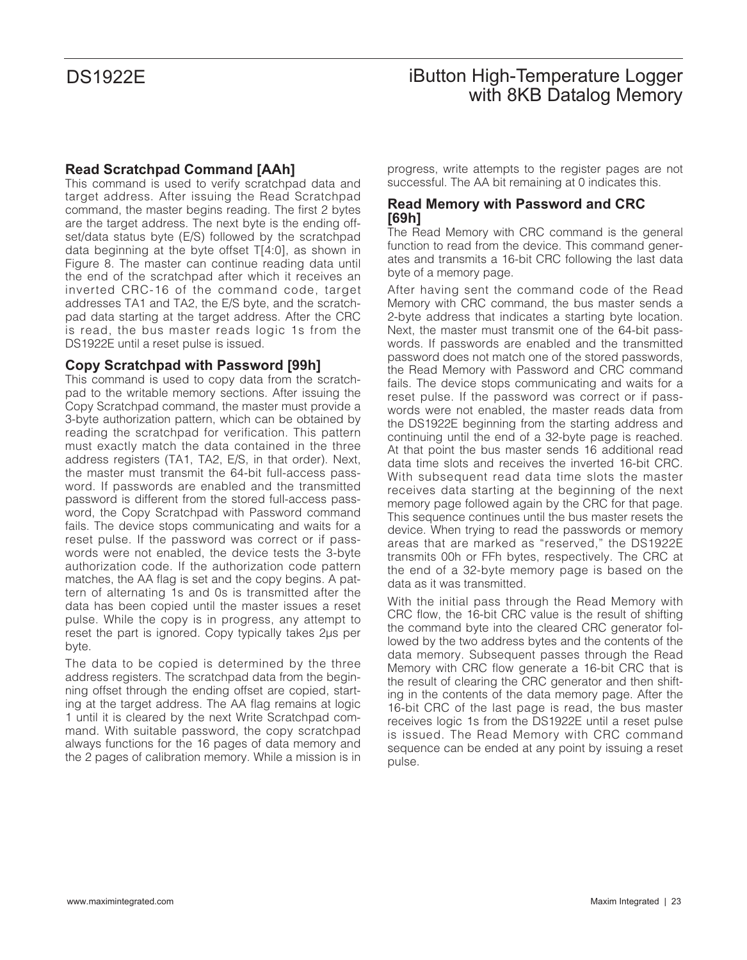## **Read Scratchpad Command [AAh]**

This command is used to verify scratchpad data and target address. After issuing the Read Scratchpad command, the master begins reading. The first 2 bytes are the target address. The next byte is the ending offset/data status byte (E/S) followed by the scratchpad data beginning at the byte offset T[4:0], as shown in Figure 8. The master can continue reading data until the end of the scratchpad after which it receives an inverted CRC-16 of the command code, target addresses TA1 and TA2, the E/S byte, and the scratchpad data starting at the target address. After the CRC is read, the bus master reads logic 1s from the DS1922E until a reset pulse is issued.

### **Copy Scratchpad with Password [99h]**

This command is used to copy data from the scratchpad to the writable memory sections. After issuing the Copy Scratchpad command, the master must provide a 3-byte authorization pattern, which can be obtained by reading the scratchpad for verification. This pattern must exactly match the data contained in the three address registers (TA1, TA2, E/S, in that order). Next, the master must transmit the 64-bit full-access password. If passwords are enabled and the transmitted password is different from the stored full-access password, the Copy Scratchpad with Password command fails. The device stops communicating and waits for a reset pulse. If the password was correct or if passwords were not enabled, the device tests the 3-byte authorization code. If the authorization code pattern matches, the AA flag is set and the copy begins. A pattern of alternating 1s and 0s is transmitted after the data has been copied until the master issues a reset pulse. While the copy is in progress, any attempt to reset the part is ignored. Copy typically takes 2µs per byte.

The data to be copied is determined by the three address registers. The scratchpad data from the beginning offset through the ending offset are copied, starting at the target address. The AA flag remains at logic 1 until it is cleared by the next Write Scratchpad command. With suitable password, the copy scratchpad always functions for the 16 pages of data memory and the 2 pages of calibration memory. While a mission is in progress, write attempts to the register pages are not successful. The AA bit remaining at 0 indicates this.

### **Read Memory with Password and CRC [69h]**

The Read Memory with CRC command is the general function to read from the device. This command generates and transmits a 16-bit CRC following the last data byte of a memory page.

After having sent the command code of the Read Memory with CRC command, the bus master sends a 2-byte address that indicates a starting byte location. Next, the master must transmit one of the 64-bit passwords. If passwords are enabled and the transmitted password does not match one of the stored passwords, the Read Memory with Password and CRC command fails. The device stops communicating and waits for a reset pulse. If the password was correct or if passwords were not enabled, the master reads data from the DS1922E beginning from the starting address and continuing until the end of a 32-byte page is reached. At that point the bus master sends 16 additional read data time slots and receives the inverted 16-bit CRC. With subsequent read data time slots the master receives data starting at the beginning of the next memory page followed again by the CRC for that page. This sequence continues until the bus master resets the device. When trying to read the passwords or memory areas that are marked as "reserved," the DS1922E transmits 00h or FFh bytes, respectively. The CRC at the end of a 32-byte memory page is based on the data as it was transmitted.

With the initial pass through the Read Memory with CRC flow, the 16-bit CRC value is the result of shifting the command byte into the cleared CRC generator followed by the two address bytes and the contents of the data memory. Subsequent passes through the Read Memory with CRC flow generate a 16-bit CRC that is the result of clearing the CRC generator and then shifting in the contents of the data memory page. After the 16-bit CRC of the last page is read, the bus master receives logic 1s from the DS1922E until a reset pulse is issued. The Read Memory with CRC command sequence can be ended at any point by issuing a reset pulse.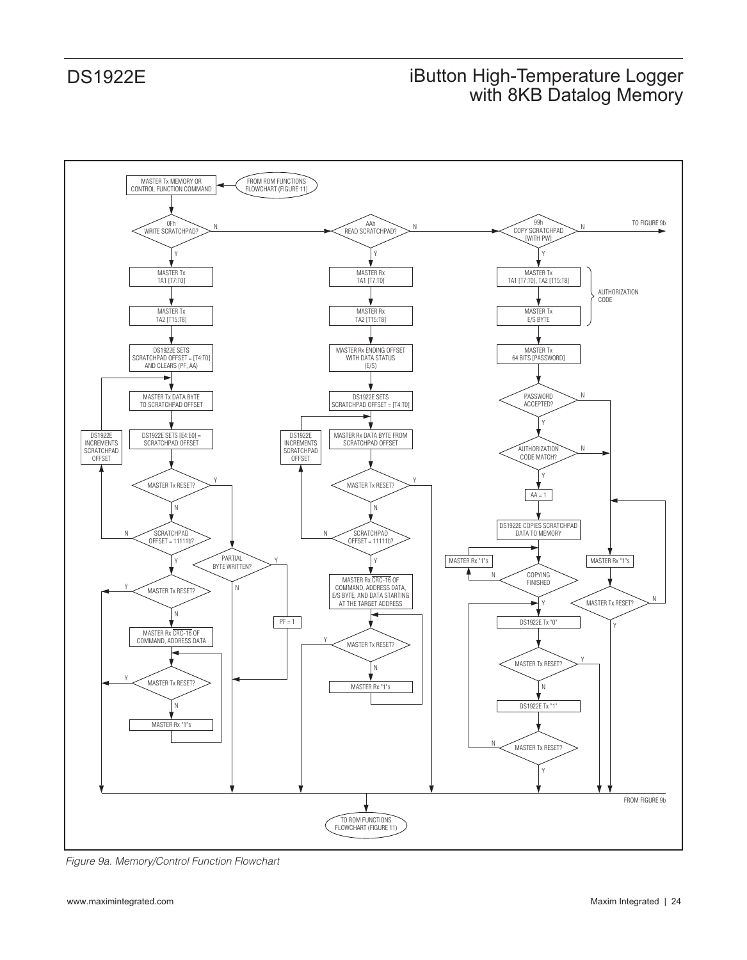

*Figure 9a. Memory/Control Function Flowchart*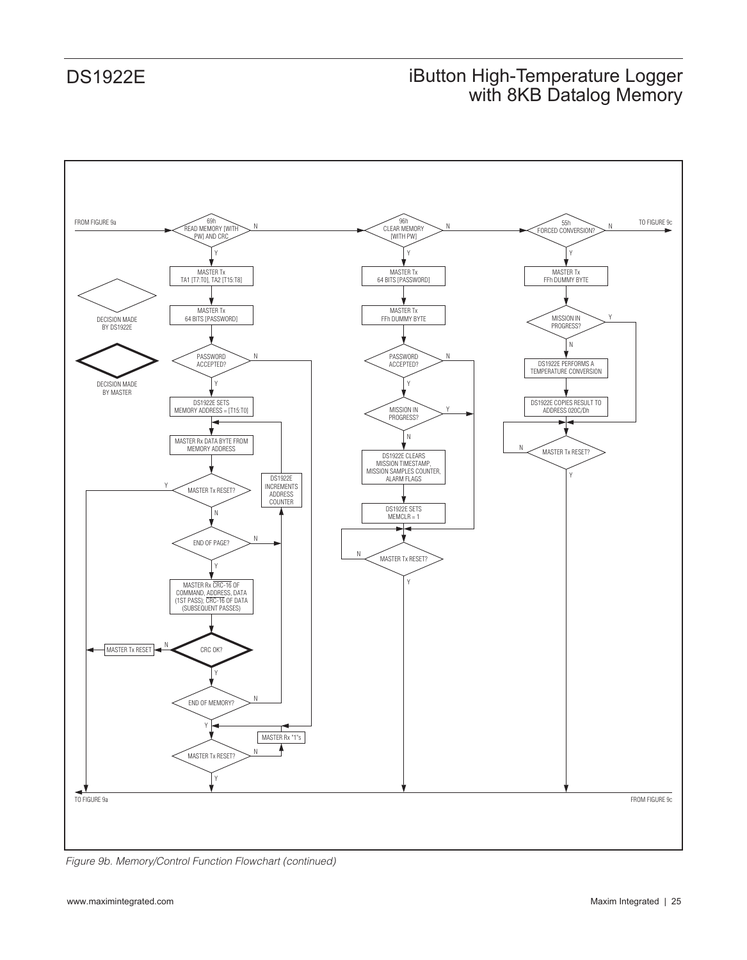

*Figure 9b. Memory/Control Function Flowchart (continued)*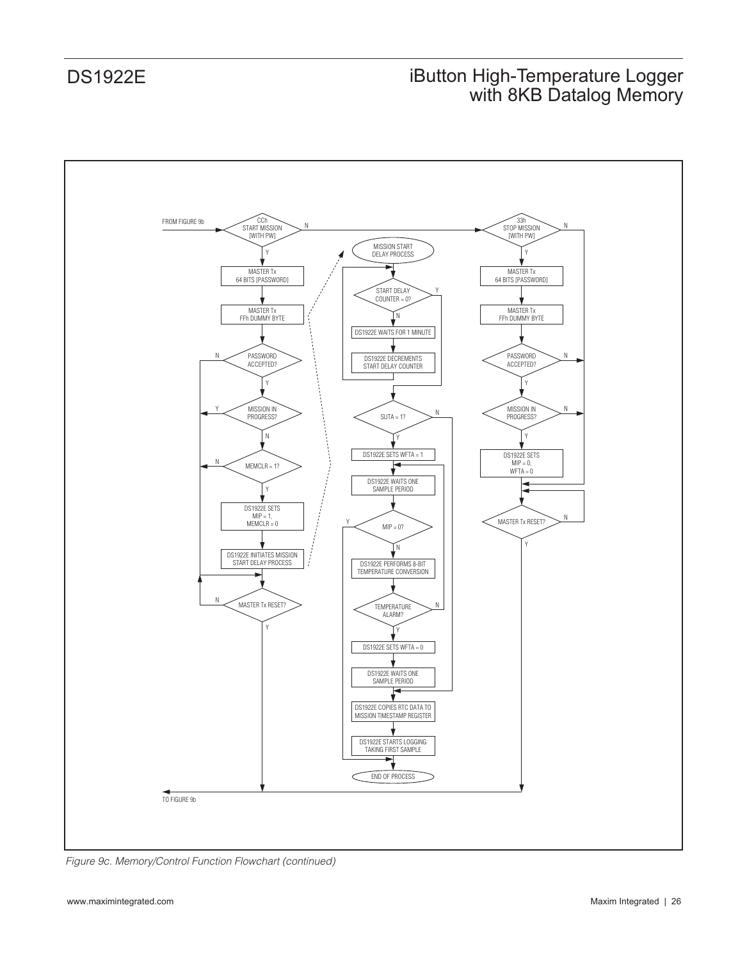

*Figure 9c. Memory/Control Function Flowchart (continued)*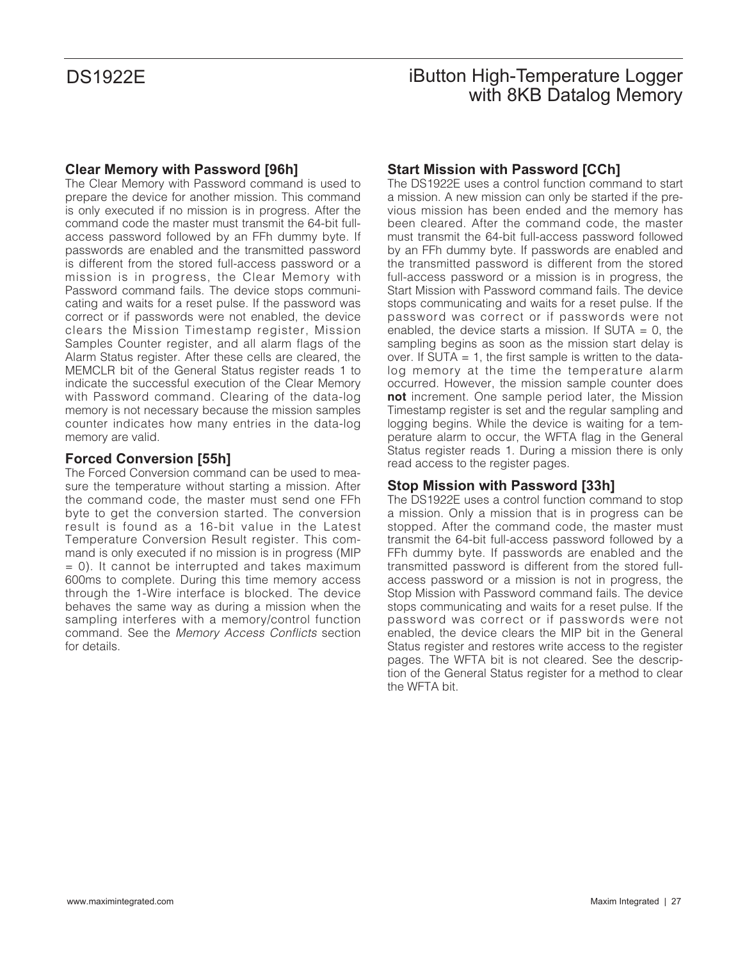## **Clear Memory with Password [96h]**

The Clear Memory with Password command is used to prepare the device for another mission. This command is only executed if no mission is in progress. After the command code the master must transmit the 64-bit fullaccess password followed by an FFh dummy byte. If passwords are enabled and the transmitted password is different from the stored full-access password or a mission is in progress, the Clear Memory with Password command fails. The device stops communicating and waits for a reset pulse. If the password was correct or if passwords were not enabled, the device clears the Mission Timestamp register, Mission Samples Counter register, and all alarm flags of the Alarm Status register. After these cells are cleared, the MEMCLR bit of the General Status register reads 1 to indicate the successful execution of the Clear Memory with Password command. Clearing of the data-log memory is not necessary because the mission samples counter indicates how many entries in the data-log memory are valid.

### **Forced Conversion [55h]**

The Forced Conversion command can be used to measure the temperature without starting a mission. After the command code, the master must send one FFh byte to get the conversion started. The conversion result is found as a 16-bit value in the Latest Temperature Conversion Result register. This command is only executed if no mission is in progress (MIP = 0). It cannot be interrupted and takes maximum 600ms to complete. During this time memory access through the 1-Wire interface is blocked. The device behaves the same way as during a mission when the sampling interferes with a memory/control function command. See the *Memory Access Conflicts* section for details.

## **Start Mission with Password [CCh]**

The DS1922E uses a control function command to start a mission. A new mission can only be started if the previous mission has been ended and the memory has been cleared. After the command code, the master must transmit the 64-bit full-access password followed by an FFh dummy byte. If passwords are enabled and the transmitted password is different from the stored full-access password or a mission is in progress, the Start Mission with Password command fails. The device stops communicating and waits for a reset pulse. If the password was correct or if passwords were not enabled, the device starts a mission. If SUTA  $= 0$ , the sampling begins as soon as the mission start delay is over. If  $SUTA = 1$ , the first sample is written to the datalog memory at the time the temperature alarm occurred. However, the mission sample counter does **not** increment. One sample period later, the Mission Timestamp register is set and the regular sampling and logging begins. While the device is waiting for a temperature alarm to occur, the WFTA flag in the General Status register reads 1. During a mission there is only read access to the register pages.

## **Stop Mission with Password [33h]**

The DS1922E uses a control function command to stop a mission. Only a mission that is in progress can be stopped. After the command code, the master must transmit the 64-bit full-access password followed by a FFh dummy byte. If passwords are enabled and the transmitted password is different from the stored fullaccess password or a mission is not in progress, the Stop Mission with Password command fails. The device stops communicating and waits for a reset pulse. If the password was correct or if passwords were not enabled, the device clears the MIP bit in the General Status register and restores write access to the register pages. The WFTA bit is not cleared. See the description of the General Status register for a method to clear the WFTA bit.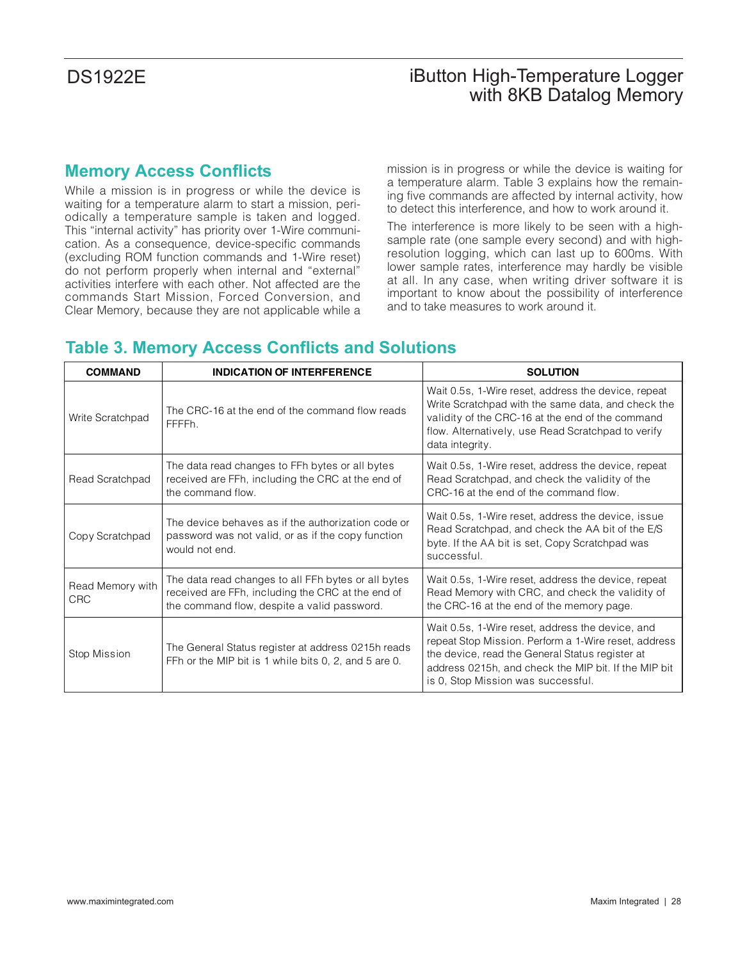## **Memory Access Conflicts**

While a mission is in progress or while the device is waiting for a temperature alarm to start a mission, periodically a temperature sample is taken and logged. This "internal activity" has priority over 1-Wire communication. As a consequence, device-specific commands (excluding ROM function commands and 1-Wire reset) do not perform properly when internal and "external" activities interfere with each other. Not affected are the commands Start Mission, Forced Conversion, and Clear Memory, because they are not applicable while a

mission is in progress or while the device is waiting for a temperature alarm. Table 3 explains how the remaining five commands are affected by internal activity, how to detect this interference, and how to work around it.

The interference is more likely to be seen with a highsample rate (one sample every second) and with highresolution logging, which can last up to 600ms. With lower sample rates, interference may hardly be visible at all. In any case, when writing driver software it is important to know about the possibility of interference and to take measures to work around it.

## **Table 3. Memory Access Conflicts and Solutions**

| <b>COMMAND</b>          | <b>INDICATION OF INTERFERENCE</b>                                                                                                                       | <b>SOLUTION</b>                                                                                                                                                                                                                                           |  |  |  |
|-------------------------|---------------------------------------------------------------------------------------------------------------------------------------------------------|-----------------------------------------------------------------------------------------------------------------------------------------------------------------------------------------------------------------------------------------------------------|--|--|--|
| Write Scratchpad        | The CRC-16 at the end of the command flow reads<br>FFFFFh.                                                                                              | Wait 0.5s, 1-Wire reset, address the device, repeat<br>Write Scratchpad with the same data, and check the<br>validity of the CRC-16 at the end of the command<br>flow. Alternatively, use Read Scratchpad to verify<br>data integrity.                    |  |  |  |
| Read Scratchpad         | The data read changes to FFh bytes or all bytes<br>received are FFh, including the CRC at the end of<br>the command flow.                               | Wait 0.5s, 1-Wire reset, address the device, repeat<br>Read Scratchpad, and check the validity of the<br>CRC-16 at the end of the command flow.                                                                                                           |  |  |  |
| Copy Scratchpad         | The device behaves as if the authorization code or<br>password was not valid, or as if the copy function<br>would not end.                              | Wait 0.5s, 1-Wire reset, address the device, issue<br>Read Scratchpad, and check the AA bit of the E/S<br>byte. If the AA bit is set, Copy Scratchpad was<br>successful.                                                                                  |  |  |  |
| Read Memory with<br>CRC | The data read changes to all FFh bytes or all bytes<br>received are FFh, including the CRC at the end of<br>the command flow, despite a valid password. | Wait 0.5s, 1-Wire reset, address the device, repeat<br>Read Memory with CRC, and check the validity of<br>the CRC-16 at the end of the memory page.                                                                                                       |  |  |  |
| Stop Mission            | The General Status register at address 0215h reads<br>FFh or the MIP bit is 1 while bits 0, 2, and 5 are 0.                                             | Wait 0.5s, 1-Wire reset, address the device, and<br>repeat Stop Mission. Perform a 1-Wire reset, address<br>the device, read the General Status register at<br>address 0215h, and check the MIP bit. If the MIP bit<br>is 0, Stop Mission was successful. |  |  |  |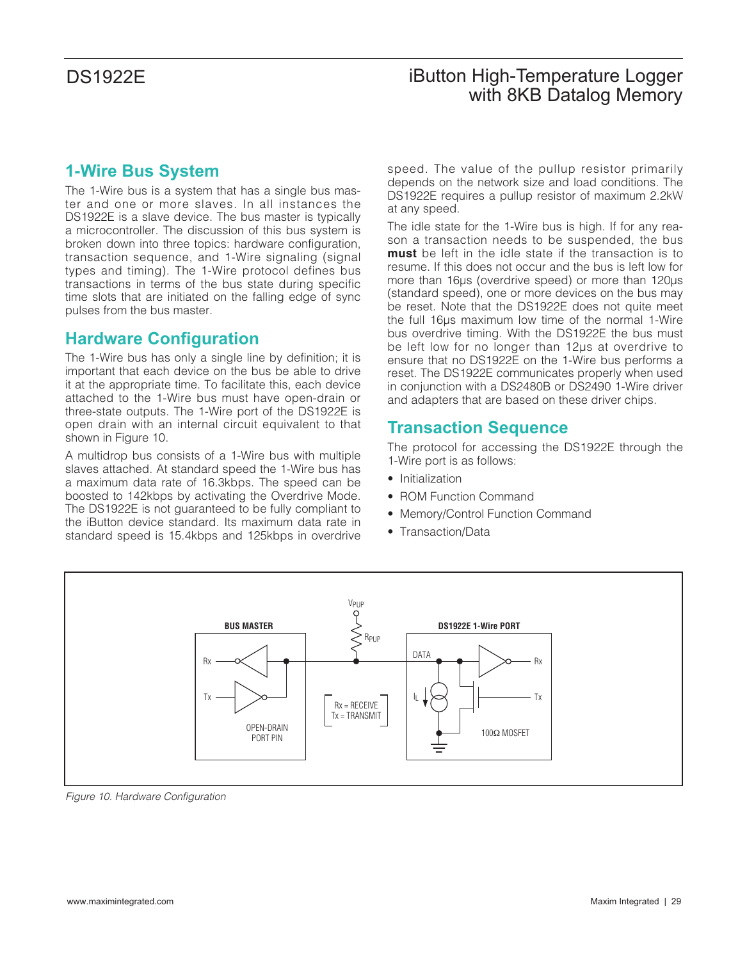## **1-Wire Bus System**

The 1-Wire bus is a system that has a single bus master and one or more slaves. In all instances the DS1922E is a slave device. The bus master is typically a microcontroller. The discussion of this bus system is broken down into three topics: hardware configuration, transaction sequence, and 1-Wire signaling (signal types and timing). The 1-Wire protocol defines bus transactions in terms of the bus state during specific time slots that are initiated on the falling edge of sync pulses from the bus master.

## **Hardware Configuration**

The 1-Wire bus has only a single line by definition; it is important that each device on the bus be able to drive it at the appropriate time. To facilitate this, each device attached to the 1-Wire bus must have open-drain or three-state outputs. The 1-Wire port of the DS1922E is open drain with an internal circuit equivalent to that shown in Figure 10.

A multidrop bus consists of a 1-Wire bus with multiple slaves attached. At standard speed the 1-Wire bus has a maximum data rate of 16.3kbps. The speed can be boosted to 142kbps by activating the Overdrive Mode. The DS1922E is not guaranteed to be fully compliant to the iButton device standard. Its maximum data rate in standard speed is 15.4kbps and 125kbps in overdrive speed. The value of the pullup resistor primarily depends on the network size and load conditions. The DS1922E requires a pullup resistor of maximum 2.2kW at any speed.

The idle state for the 1-Wire bus is high. If for any reason a transaction needs to be suspended, the bus **must** be left in the idle state if the transaction is to resume. If this does not occur and the bus is left low for more than 16µs (overdrive speed) or more than 120µs (standard speed), one or more devices on the bus may be reset. Note that the DS1922E does not quite meet the full 16µs maximum low time of the normal 1-Wire bus overdrive timing. With the DS1922E the bus must be left low for no longer than 12µs at overdrive to ensure that no DS1922E on the 1-Wire bus performs a reset. The DS1922E communicates properly when used in conjunction with a DS2480B or DS2490 1-Wire driver and adapters that are based on these driver chips.

## **Transaction Sequence**

The protocol for accessing the DS1922E through the 1-Wire port is as follows:

- Initialization
- ROM Function Command
- Memory/Control Function Command
- Transaction/Data



*Figure 10. Hardware Configuration*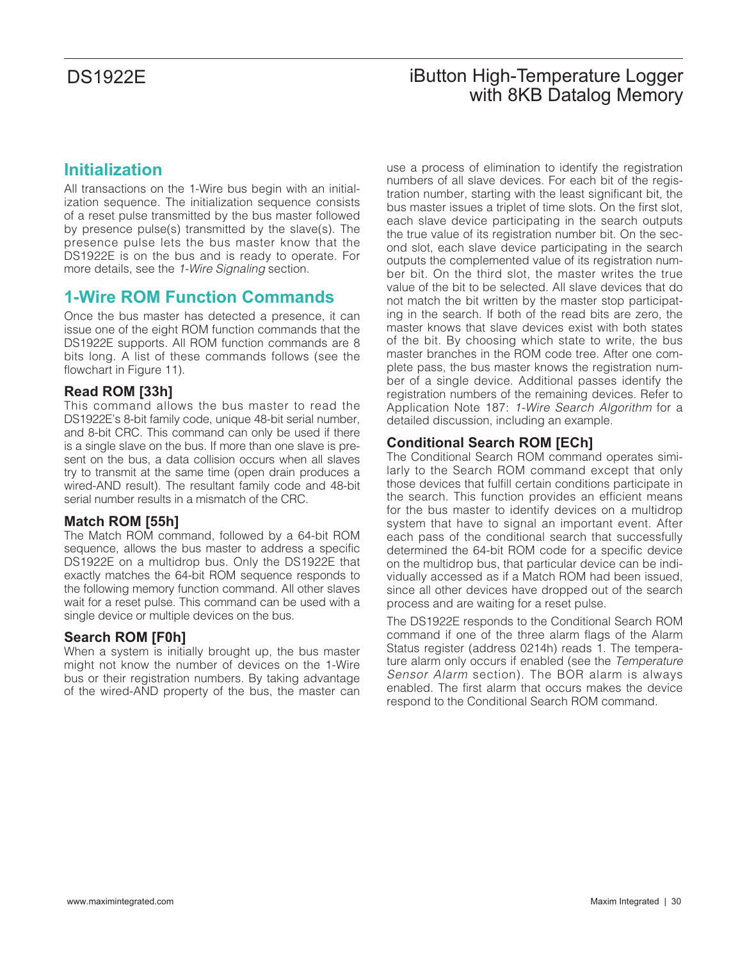## **Initialization**

All transactions on the 1-Wire bus begin with an initialization sequence. The initialization sequence consists of a reset pulse transmitted by the bus master followed by presence pulse(s) transmitted by the slave(s). The presence pulse lets the bus master know that the DS1922E is on the bus and is ready to operate. For more details, see the *1-Wire Signaling* section.

## **1-Wire ROM Function Commands**

Once the bus master has detected a presence, it can issue one of the eight ROM function commands that the DS1922E supports. All ROM function commands are 8 bits long. A list of these commands follows (see the flowchart in Figure 11).

### **Read ROM [33h]**

This command allows the bus master to read the DS1922E's 8-bit family code, unique 48-bit serial number, and 8-bit CRC. This command can only be used if there is a single slave on the bus. If more than one slave is present on the bus, a data collision occurs when all slaves try to transmit at the same time (open drain produces a wired-AND result). The resultant family code and 48-bit serial number results in a mismatch of the CRC.

### **Match ROM [55h]**

The Match ROM command, followed by a 64-bit ROM sequence, allows the bus master to address a specific DS1922E on a multidrop bus. Only the DS1922E that exactly matches the 64-bit ROM sequence responds to the following memory function command. All other slaves wait for a reset pulse. This command can be used with a single device or multiple devices on the bus.

### **Search ROM [F0h]**

When a system is initially brought up, the bus master might not know the number of devices on the 1-Wire bus or their registration numbers. By taking advantage of the wired-AND property of the bus, the master can use a process of elimination to identify the registration numbers of all slave devices. For each bit of the registration number, starting with the least significant bit, the bus master issues a triplet of time slots. On the first slot, each slave device participating in the search outputs the true value of its registration number bit. On the second slot, each slave device participating in the search outputs the complemented value of its registration number bit. On the third slot, the master writes the true value of the bit to be selected. All slave devices that do not match the bit written by the master stop participating in the search. If both of the read bits are zero, the master knows that slave devices exist with both states of the bit. By choosing which state to write, the bus master branches in the ROM code tree. After one complete pass, the bus master knows the registration number of a single device. Additional passes identify the registration numbers of the remaining devices. Refer to Application Note 187: *1-Wire Search Algorithm* for a detailed discussion, including an example.

### **Conditional Search ROM [ECh]**

The Conditional Search ROM command operates similarly to the Search ROM command except that only those devices that fulfill certain conditions participate in the search. This function provides an efficient means for the bus master to identify devices on a multidrop system that have to signal an important event. After each pass of the conditional search that successfully determined the 64-bit ROM code for a specific device on the multidrop bus, that particular device can be individually accessed as if a Match ROM had been issued, since all other devices have dropped out of the search process and are waiting for a reset pulse.

The DS1922E responds to the Conditional Search ROM command if one of the three alarm flags of the Alarm Status register (address 0214h) reads 1. The temperature alarm only occurs if enabled (see the *Temperature Sensor Alarm* section). The BOR alarm is always enabled. The first alarm that occurs makes the device respond to the Conditional Search ROM command.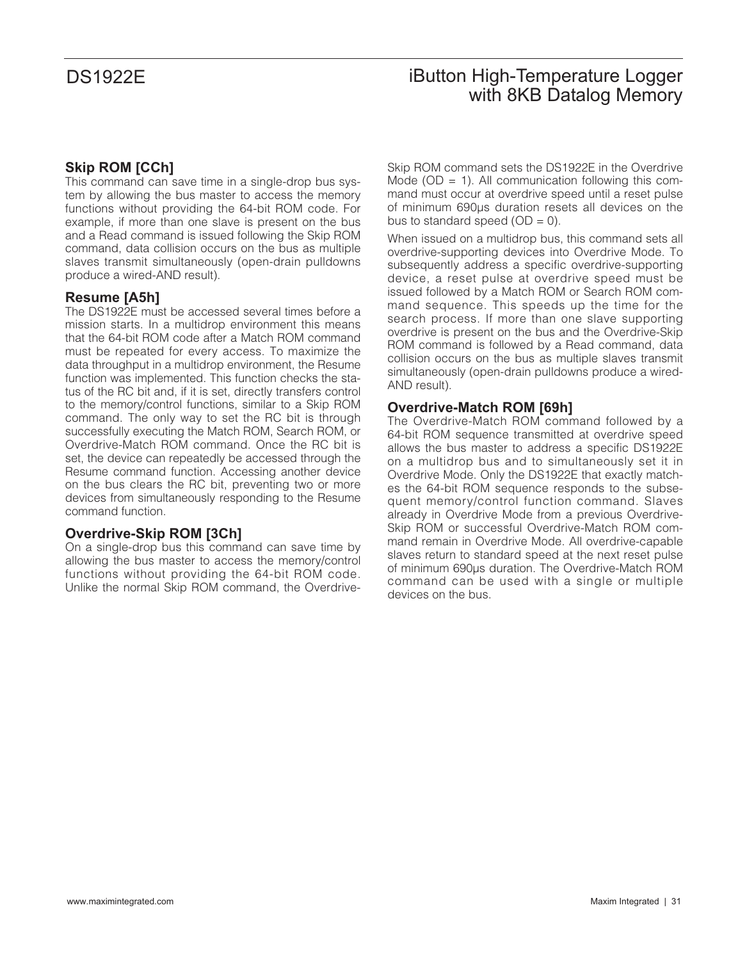## **Skip ROM [CCh]**

This command can save time in a single-drop bus system by allowing the bus master to access the memory functions without providing the 64-bit ROM code. For example, if more than one slave is present on the bus and a Read command is issued following the Skip ROM command, data collision occurs on the bus as multiple slaves transmit simultaneously (open-drain pulldowns produce a wired-AND result).

### **Resume [A5h]**

The DS1922E must be accessed several times before a mission starts. In a multidrop environment this means that the 64-bit ROM code after a Match ROM command must be repeated for every access. To maximize the data throughput in a multidrop environment, the Resume function was implemented. This function checks the status of the RC bit and, if it is set, directly transfers control to the memory/control functions, similar to a Skip ROM command. The only way to set the RC bit is through successfully executing the Match ROM, Search ROM, or Overdrive-Match ROM command. Once the RC bit is set, the device can repeatedly be accessed through the Resume command function. Accessing another device on the bus clears the RC bit, preventing two or more devices from simultaneously responding to the Resume command function.

### **Overdrive-Skip ROM [3Ch]**

On a single-drop bus this command can save time by allowing the bus master to access the memory/control functions without providing the 64-bit ROM code. Unlike the normal Skip ROM command, the OverdriveSkip ROM command sets the DS1922E in the Overdrive Mode ( $OD = 1$ ). All communication following this command must occur at overdrive speed until a reset pulse of minimum 690µs duration resets all devices on the bus to standard speed  $(OD = 0)$ .

When issued on a multidrop bus, this command sets all overdrive-supporting devices into Overdrive Mode. To subsequently address a specific overdrive-supporting device, a reset pulse at overdrive speed must be issued followed by a Match ROM or Search ROM command sequence. This speeds up the time for the search process. If more than one slave supporting overdrive is present on the bus and the Overdrive-Skip ROM command is followed by a Read command, data collision occurs on the bus as multiple slaves transmit simultaneously (open-drain pulldowns produce a wired-AND result).

### **Overdrive-Match ROM [69h]**

The Overdrive-Match ROM command followed by a 64-bit ROM sequence transmitted at overdrive speed allows the bus master to address a specific DS1922E on a multidrop bus and to simultaneously set it in Overdrive Mode. Only the DS1922E that exactly matches the 64-bit ROM sequence responds to the subsequent memory/control function command. Slaves already in Overdrive Mode from a previous Overdrive-Skip ROM or successful Overdrive-Match ROM command remain in Overdrive Mode. All overdrive-capable slaves return to standard speed at the next reset pulse of minimum 690µs duration. The Overdrive-Match ROM command can be used with a single or multiple devices on the bus.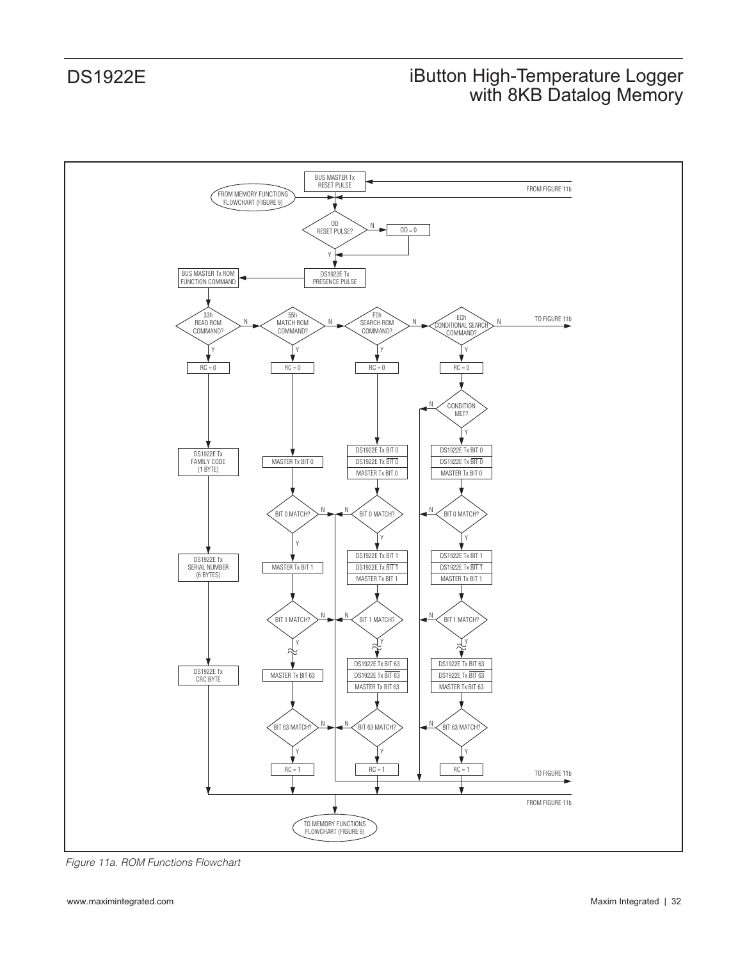

*Figure 11a. ROM Functions Flowchart*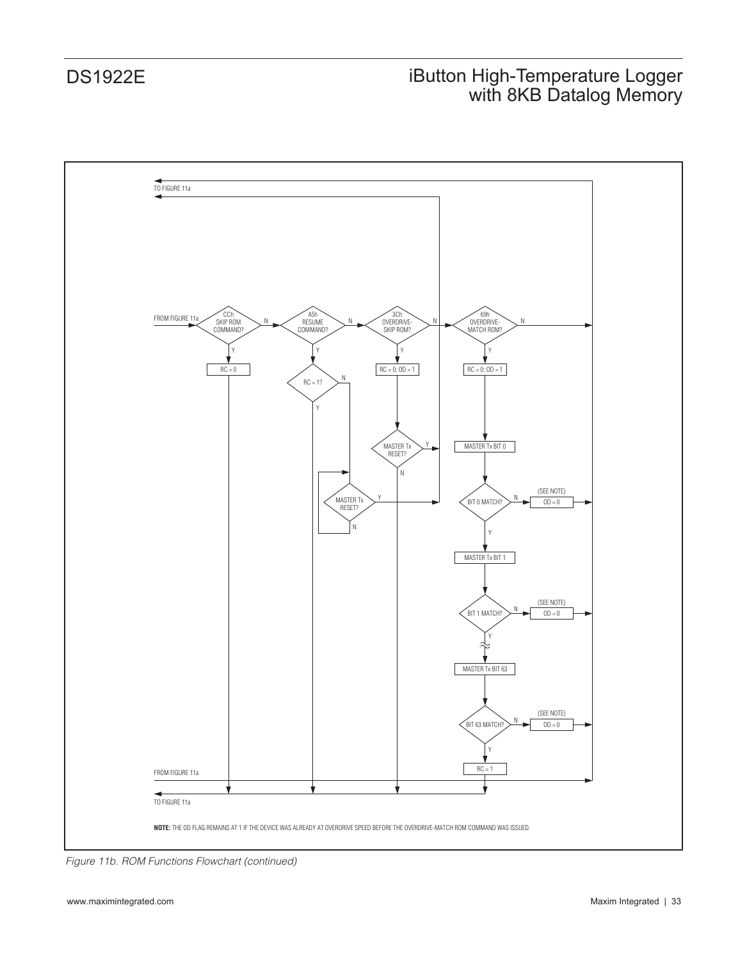

*Figure 11b. ROM Functions Flowchart (continued)*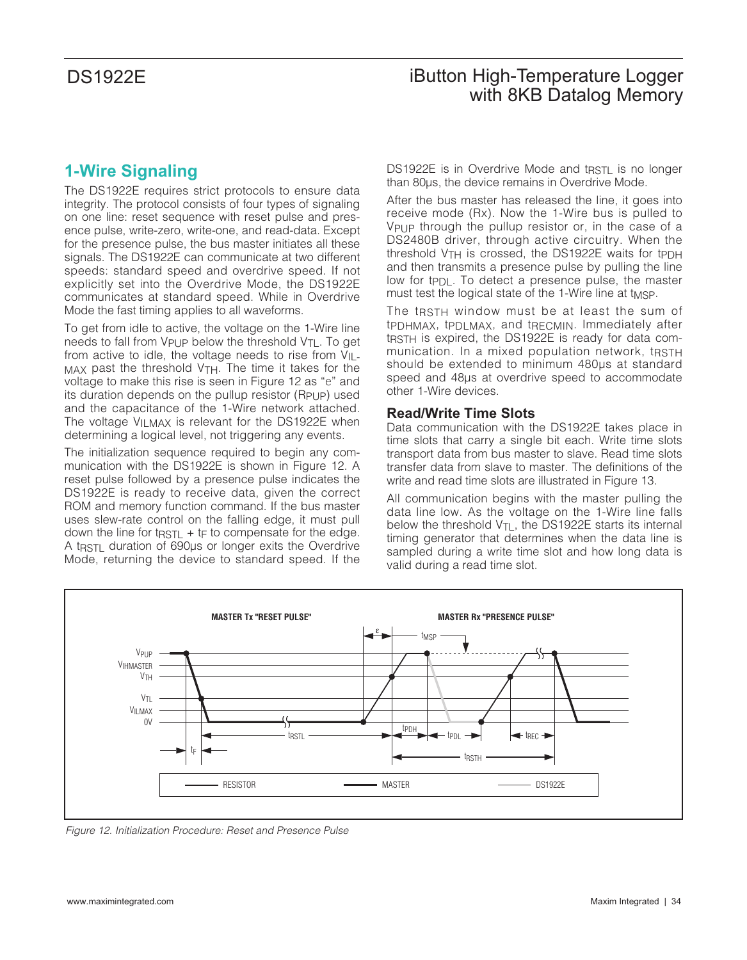## **1-Wire Signaling**

The DS1922E requires strict protocols to ensure data integrity. The protocol consists of four types of signaling on one line: reset sequence with reset pulse and presence pulse, write-zero, write-one, and read-data. Except for the presence pulse, the bus master initiates all these signals. The DS1922E can communicate at two different speeds: standard speed and overdrive speed. If not explicitly set into the Overdrive Mode, the DS1922E communicates at standard speed. While in Overdrive Mode the fast timing applies to all waveforms.

To get from idle to active, the voltage on the 1-Wire line needs to fall from V<sub>PUP</sub> below the threshold V<sub>TL</sub>. To get from active to idle, the voltage needs to rise from  $V_{\parallel}$ . MAX past the threshold V<sub>TH</sub>. The time it takes for the voltage to make this rise is seen in Figure 12 as "e" and its duration depends on the pullup resistor (RPUP) used and the capacitance of the 1-Wire network attached. The voltage V<sub>ILMAX</sub> is relevant for the DS1922E when determining a logical level, not triggering any events.

The initialization sequence required to begin any communication with the DS1922E is shown in Figure 12. A reset pulse followed by a presence pulse indicates the DS1922E is ready to receive data, given the correct ROM and memory function command. If the bus master uses slew-rate control on the falling edge, it must pull down the line for  $tRSTL + tF$  to compensate for the edge. A trest duration of 690us or longer exits the Overdrive Mode, returning the device to standard speed. If the DS1922E is in Overdrive Mode and trastly is no longer than 80µs, the device remains in Overdrive Mode.

After the bus master has released the line, it goes into receive mode (Rx). Now the 1-Wire bus is pulled to VPUP through the pullup resistor or, in the case of a DS2480B driver, through active circuitry. When the threshold VTH is crossed, the DS1922E waits for tPDH and then transmits a presence pulse by pulling the line low for tPDL. To detect a presence pulse, the master must test the logical state of the 1-Wire line at tMSP.

The tRSTH window must be at least the sum of tPDHMAX, tPDLMAX, and tRECMIN. Immediately after tRSTH is expired, the DS1922E is ready for data communication. In a mixed population network, tRSTH should be extended to minimum 480µs at standard speed and 48µs at overdrive speed to accommodate other 1-Wire devices.

### **Read/Write Time Slots**

Data communication with the DS1922E takes place in time slots that carry a single bit each. Write time slots transport data from bus master to slave. Read time slots transfer data from slave to master. The definitions of the write and read time slots are illustrated in Figure 13.

All communication begins with the master pulling the data line low. As the voltage on the 1-Wire line falls below the threshold VTL, the DS1922E starts its internal timing generator that determines when the data line is sampled during a write time slot and how long data is valid during a read time slot.



*Figure 12. Initialization Procedure: Reset and Presence Pulse*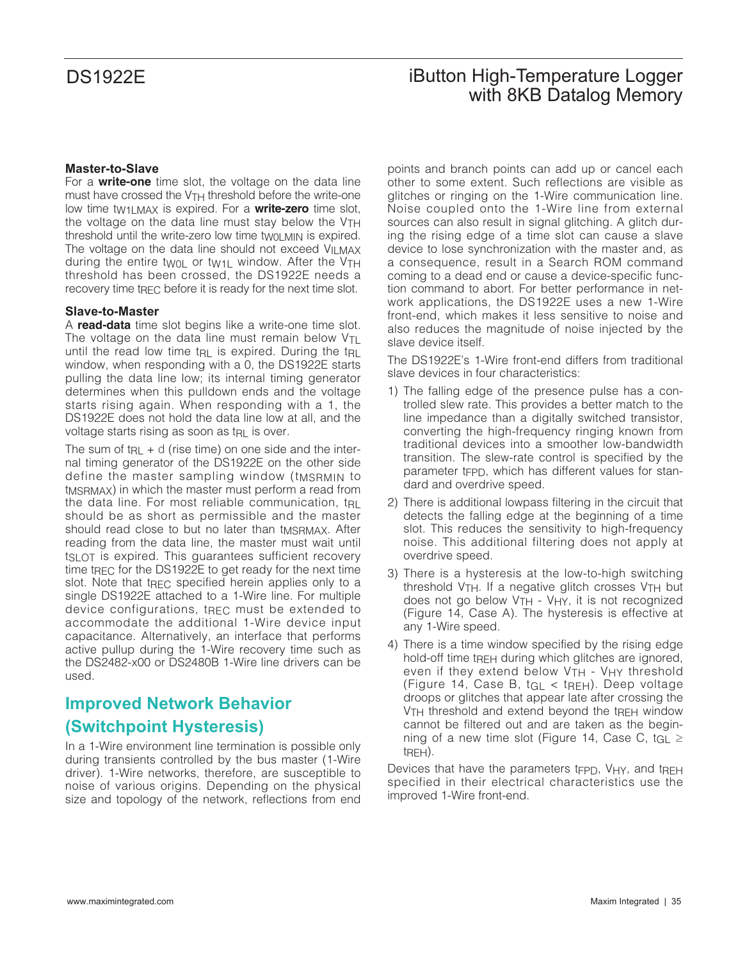#### **Master-to-Slave**

For a **write-one** time slot, the voltage on the data line must have crossed the V<sub>TH</sub> threshold before the write-one low time tW1LMAX is expired. For a **write-zero** time slot, the voltage on the data line must stay below the VTH threshold until the write-zero low time two LMIN is expired. The voltage on the data line should not exceed  $V_{\parallel\parallel}$  MAX during the entire twol or tw<sub>1</sub> window. After the V<sub>TH</sub> threshold has been crossed, the DS1922E needs a recovery time tREC before it is ready for the next time slot.

#### **Slave-to-Master**

A **read-data** time slot begins like a write-one time slot. The voltage on the data line must remain below  $V_{TL}$ until the read low time t<sub>RL</sub> is expired. During the t<sub>RL</sub> window, when responding with a 0, the DS1922E starts pulling the data line low; its internal timing generator determines when this pulldown ends and the voltage starts rising again. When responding with a 1, the DS1922E does not hold the data line low at all, and the voltage starts rising as soon as t<sub>RL</sub> is over.

The sum of  $tr|_1 + d$  (rise time) on one side and the internal timing generator of the DS1922E on the other side define the master sampling window (tMSRMIN to t<sub>MSRMAX</sub>) in which the master must perform a read from the data line. For most reliable communication, tru should be as short as permissible and the master should read close to but no later than tMSRMAX. After reading from the data line, the master must wait until t<sub>SLOT</sub> is expired. This guarantees sufficient recovery time trect for the DS1922E to get ready for the next time slot. Note that tREC specified herein applies only to a single DS1922E attached to a 1-Wire line. For multiple device configurations, tREC must be extended to accommodate the additional 1-Wire device input capacitance. Alternatively, an interface that performs active pullup during the 1-Wire recovery time such as the DS2482-x00 or DS2480B 1-Wire line drivers can be used.

# **Improved Network Behavior (Switchpoint Hysteresis)**

In a 1-Wire environment line termination is possible only during transients controlled by the bus master (1-Wire driver). 1-Wire networks, therefore, are susceptible to noise of various origins. Depending on the physical size and topology of the network, reflections from end points and branch points can add up or cancel each other to some extent. Such reflections are visible as glitches or ringing on the 1-Wire communication line. Noise coupled onto the 1-Wire line from external sources can also result in signal glitching. A glitch during the rising edge of a time slot can cause a slave device to lose synchronization with the master and, as a consequence, result in a Search ROM command coming to a dead end or cause a device-specific function command to abort. For better performance in network applications, the DS1922E uses a new 1-Wire front-end, which makes it less sensitive to noise and also reduces the magnitude of noise injected by the slave device itself.

The DS1922E's 1-Wire front-end differs from traditional slave devices in four characteristics:

- 1) The falling edge of the presence pulse has a controlled slew rate. This provides a better match to the line impedance than a digitally switched transistor, converting the high-frequency ringing known from traditional devices into a smoother low-bandwidth transition. The slew-rate control is specified by the parameter tFPD, which has different values for standard and overdrive speed.
- 2) There is additional lowpass filtering in the circuit that detects the falling edge at the beginning of a time slot. This reduces the sensitivity to high-frequency noise. This additional filtering does not apply at overdrive speed.
- 3) There is a hysteresis at the low-to-high switching threshold VTH. If a negative glitch crosses VTH but does not go below V<sub>TH</sub> - V<sub>HY</sub>, it is not recognized (Figure 14, Case A). The hysteresis is effective at any 1-Wire speed.
- 4) There is a time window specified by the rising edge hold-off time tREH during which glitches are ignored, even if they extend below VTH - VHY threshold (Figure 14, Case B, tGL < tREH). Deep voltage droops or glitches that appear late after crossing the VTH threshold and extend beyond the tREH window cannot be filtered out and are taken as the beginning of a new time slot (Figure 14, Case C, tGL  $\geq$ tREH).

Devices that have the parameters tFPD, VHY, and tREH specified in their electrical characteristics use the improved 1-Wire front-end.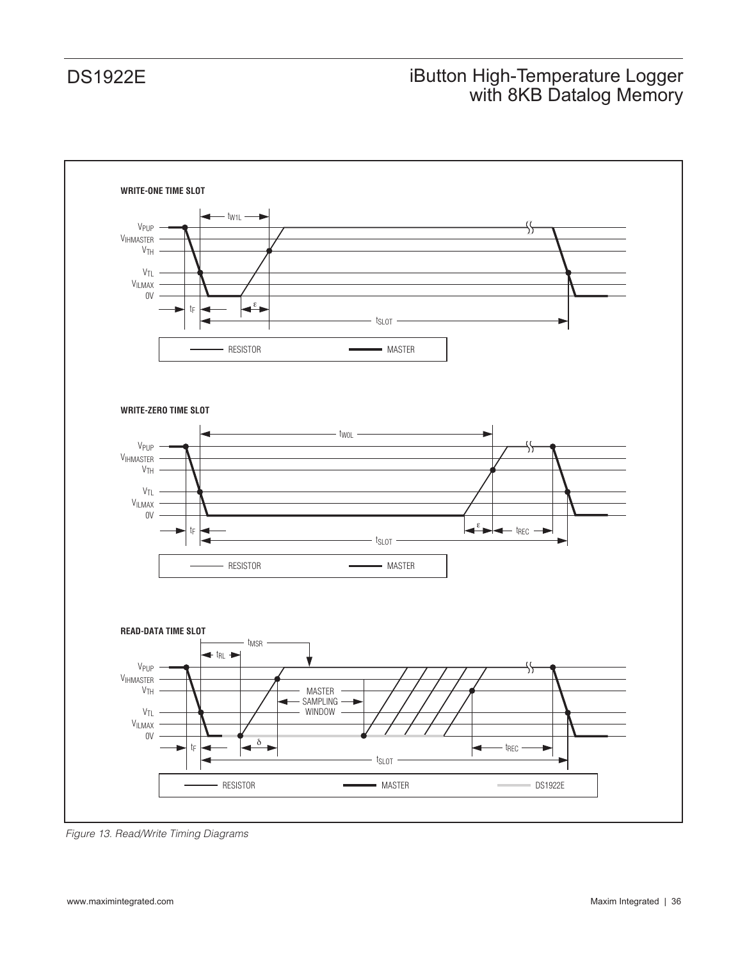

*Figure 13. Read/Write Timing Diagrams*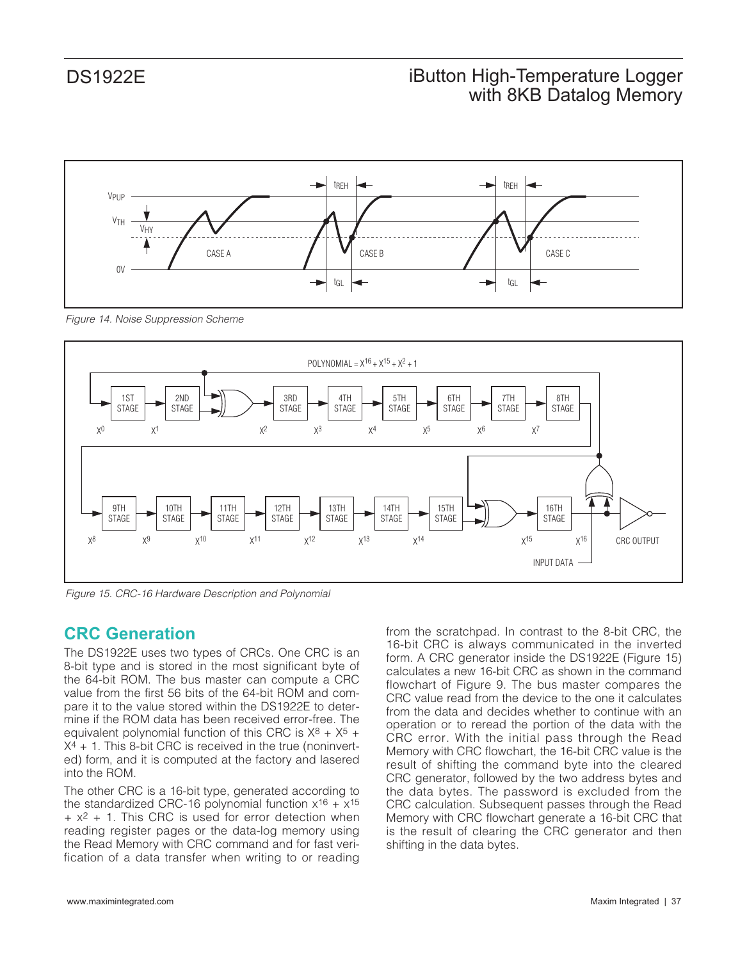

*Figure 14. Noise Suppression Scheme*



*Figure 15. CRC-16 Hardware Description and Polynomial*

## **CRC Generation**

The DS1922E uses two types of CRCs. One CRC is an 8-bit type and is stored in the most significant byte of the 64-bit ROM. The bus master can compute a CRC value from the first 56 bits of the 64-bit ROM and compare it to the value stored within the DS1922E to determine if the ROM data has been received error-free. The equivalent polynomial function of this CRC is  $X^8 + X^5 +$  $X<sup>4</sup> + 1$ . This 8-bit CRC is received in the true (noninverted) form, and it is computed at the factory and lasered into the ROM.

The other CRC is a 16-bit type, generated according to the standardized CRC-16 polynomial function  $x^{16} + x^{15}$  $+ x<sup>2</sup> + 1$ . This CRC is used for error detection when reading register pages or the data-log memory using the Read Memory with CRC command and for fast verification of a data transfer when writing to or reading from the scratchpad. In contrast to the 8-bit CRC, the 16-bit CRC is always communicated in the inverted form. A CRC generator inside the DS1922E (Figure 15) calculates a new 16-bit CRC as shown in the command flowchart of Figure 9. The bus master compares the CRC value read from the device to the one it calculates from the data and decides whether to continue with an operation or to reread the portion of the data with the CRC error. With the initial pass through the Read Memory with CRC flowchart, the 16-bit CRC value is the result of shifting the command byte into the cleared CRC generator, followed by the two address bytes and the data bytes. The password is excluded from the CRC calculation. Subsequent passes through the Read Memory with CRC flowchart generate a 16-bit CRC that is the result of clearing the CRC generator and then shifting in the data bytes.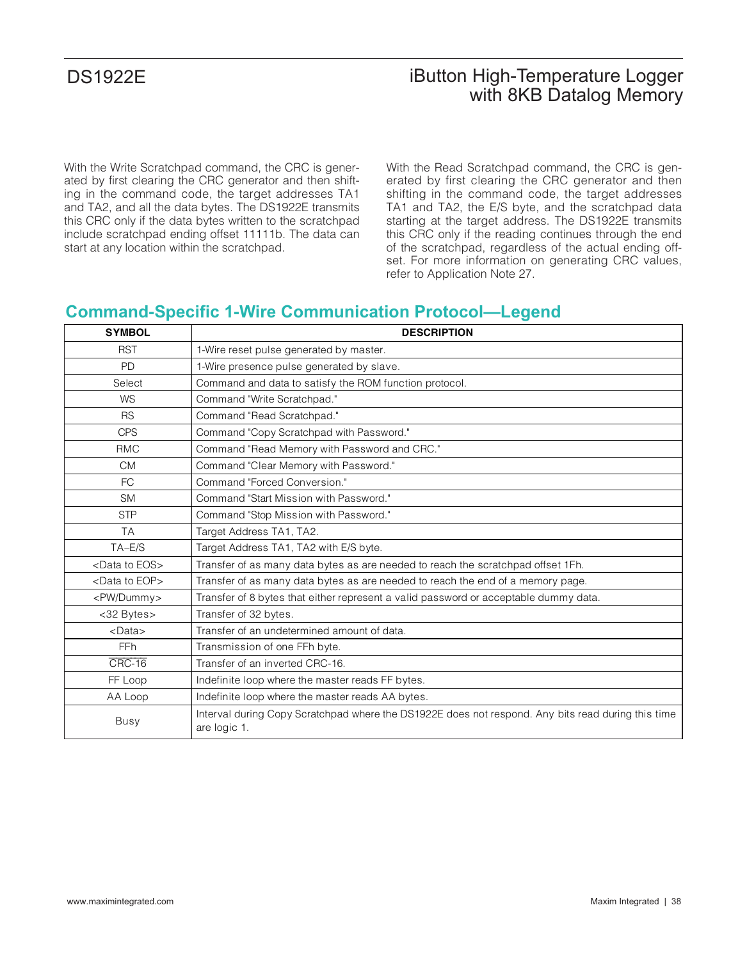With the Write Scratchpad command, the CRC is generated by first clearing the CRC generator and then shifting in the command code, the target addresses TA1 and TA2, and all the data bytes. The DS1922E transmits this CRC only if the data bytes written to the scratchpad include scratchpad ending offset 11111b. The data can start at any location within the scratchpad.

With the Read Scratchpad command, the CRC is generated by first clearing the CRC generator and then shifting in the command code, the target addresses TA1 and TA2, the E/S byte, and the scratchpad data starting at the target address. The DS1922E transmits this CRC only if the reading continues through the end of the scratchpad, regardless of the actual ending offset. For more information on generating CRC values, refer to Application Note 27.

## **Command-Specific 1-Wire Communication Protocol—Legend**

| <b>SYMBOL</b>              | <b>DESCRIPTION</b>                                                                                                 |
|----------------------------|--------------------------------------------------------------------------------------------------------------------|
| <b>RST</b>                 | 1-Wire reset pulse generated by master.                                                                            |
| PD.                        | 1-Wire presence pulse generated by slave.                                                                          |
| Select                     | Command and data to satisfy the ROM function protocol.                                                             |
| <b>WS</b>                  | Command "Write Scratchpad."                                                                                        |
| <b>RS</b>                  | Command "Read Scratchpad."                                                                                         |
| <b>CPS</b>                 | Command "Copy Scratchpad with Password."                                                                           |
| <b>RMC</b>                 | Command "Read Memory with Password and CRC."                                                                       |
| <b>CM</b>                  | Command "Clear Memory with Password."                                                                              |
| FC.                        | Command "Forced Conversion."                                                                                       |
| <b>SM</b>                  | Command "Start Mission with Password."                                                                             |
| <b>STP</b>                 | Command "Stop Mission with Password."                                                                              |
| <b>TA</b>                  | Target Address TA1, TA2.                                                                                           |
| $TA-E/S$                   | Target Address TA1, TA2 with E/S byte.                                                                             |
| <data eos="" to=""></data> | Transfer of as many data bytes as are needed to reach the scratchpad offset 1Fh.                                   |
| <data eop="" to=""></data> | Transfer of as many data bytes as are needed to reach the end of a memory page.                                    |
| <pw dummy=""></pw>         | Transfer of 8 bytes that either represent a valid password or acceptable dummy data.                               |
| <32 Bytes>                 | Transfer of 32 bytes.                                                                                              |
| $<$ Data $>$               | Transfer of an undetermined amount of data.                                                                        |
| FFh.                       | Transmission of one FFh byte.                                                                                      |
| $CRC-16$                   | Transfer of an inverted CRC-16.                                                                                    |
| FF Loop                    | Indefinite loop where the master reads FF bytes.                                                                   |
| AA Loop                    | Indefinite loop where the master reads AA bytes.                                                                   |
| Busy                       | Interval during Copy Scratchpad where the DS1922E does not respond. Any bits read during this time<br>are logic 1. |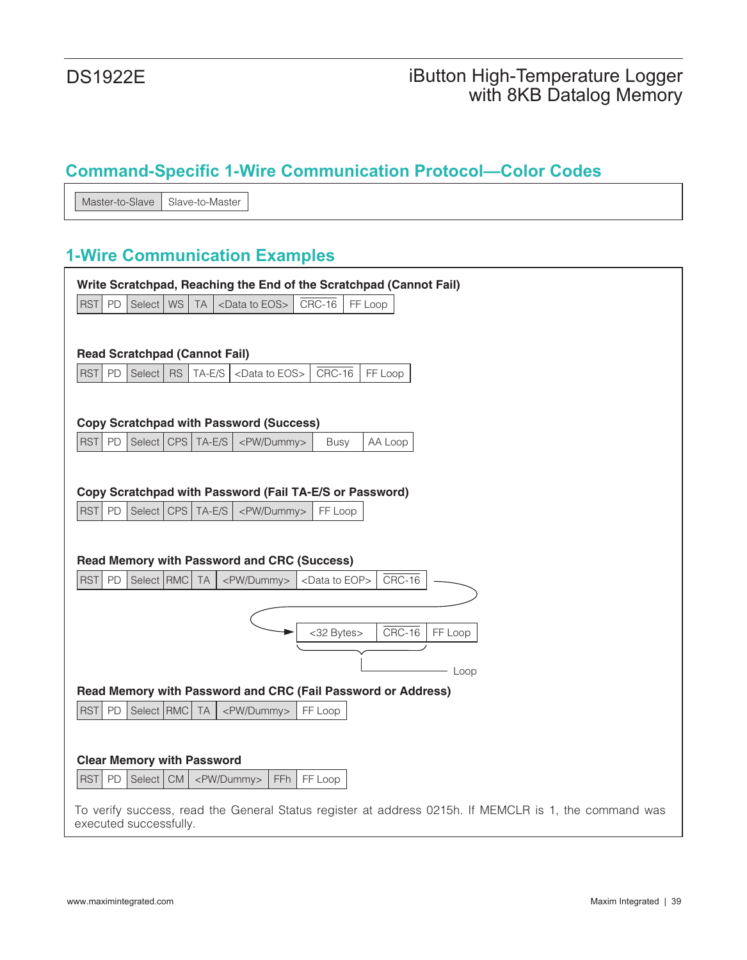# **Command-Specific 1-Wire Communication Protocol—Color Codes**

Master-to-Slave Slave-to-Master

## **1-Wire Communication Examples**

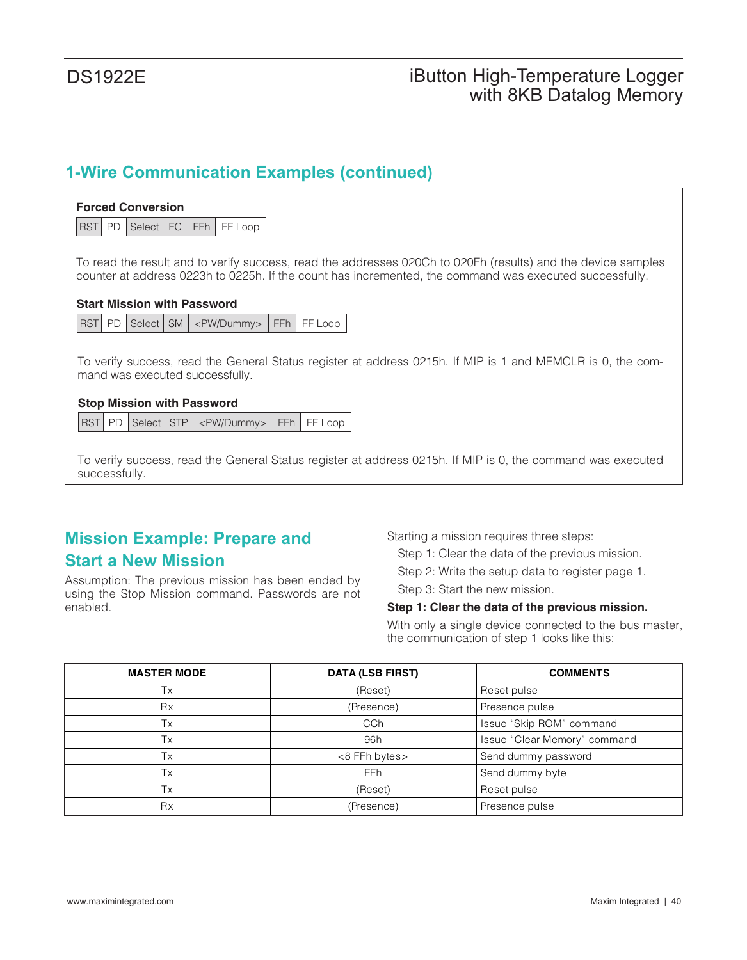# **1-Wire Communication Examples (continued)**

### **Forced Conversion**

RST PD Select FC FFh FF Loop

To read the result and to verify success, read the addresses 020Ch to 020Fh (results) and the device samples counter at address 0223h to 0225h. If the count has incremented, the command was executed successfully.

#### **Start Mission with Password**

RST PD Select SM <PW/Dummy> FFh FF Loop

To verify success, read the General Status register at address 0215h. If MIP is 1 and MEMCLR is 0, the command was executed successfully.

#### **Stop Mission with Password**

|  |  |  |  | RST PD Select STP <pw dummy=""> FFh FF Loop</pw> |  |  |
|--|--|--|--|--------------------------------------------------|--|--|
|--|--|--|--|--------------------------------------------------|--|--|

To verify success, read the General Status register at address 0215h. If MIP is 0, the command was executed successfully.

# **Mission Example: Prepare and Start a New Mission**

Assumption: The previous mission has been ended by using the Stop Mission command. Passwords are not enabled.

Starting a mission requires three steps:

Step 1: Clear the data of the previous mission.

Step 2: Write the setup data to register page 1.

Step 3: Start the new mission.

#### **Step 1: Clear the data of the previous mission.**

With only a single device connected to the bus master, the communication of step 1 looks like this:

| <b>MASTER MODE</b> | <b>DATA (LSB FIRST)</b> | <b>COMMENTS</b>              |
|--------------------|-------------------------|------------------------------|
| Tx                 | (Reset)                 | Reset pulse                  |
| <b>Rx</b>          | (Presence)              | Presence pulse               |
| Tx                 | CC <sub>h</sub>         | Issue "Skip ROM" command     |
| Tx                 | 96h                     | Issue "Clear Memory" command |
| Tx                 | <8 FFh bytes>           | Send dummy password          |
| Tx                 | FF <sub>h</sub>         | Send dummy byte              |
| Tx                 | (Reset)                 | Reset pulse                  |
| <b>Rx</b>          | (Presence)              | Presence pulse               |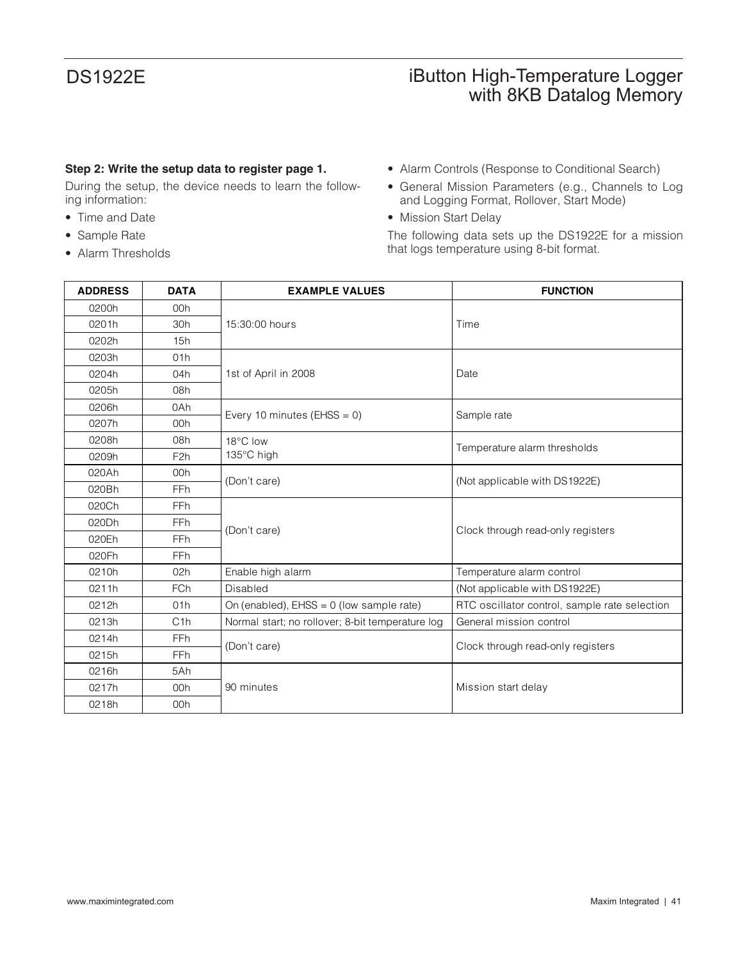#### **Step 2: Write the setup data to register page 1.**

During the setup, the device needs to learn the following information:

- Time and Date
- Sample Rate
- Alarm Thresholds
- Alarm Controls (Response to Conditional Search)
- General Mission Parameters (e.g., Channels to Log and Logging Format, Rollover, Start Mode)
- Mission Start Delay

The following data sets up the DS1922E for a mission that logs temperature using 8-bit format.

| <b>ADDRESS</b> | <b>DATA</b>     | <b>EXAMPLE VALUES</b>                            | <b>FUNCTION</b>                               |  |  |
|----------------|-----------------|--------------------------------------------------|-----------------------------------------------|--|--|
| 0200h          | 00h             |                                                  |                                               |  |  |
| 0201h          | 30h             | 15:30:00 hours                                   | Time                                          |  |  |
| 0202h          | 15h             |                                                  |                                               |  |  |
| 0203h          | 01h             |                                                  |                                               |  |  |
| 0204h          | 04h             | 1st of April in 2008                             | Date                                          |  |  |
| 0205h          | 08h             |                                                  |                                               |  |  |
| 0206h          | 0Ah             | Every 10 minutes (EHSS = $0$ )                   | Sample rate                                   |  |  |
| 0207h          | 00h             |                                                  |                                               |  |  |
| 0208h          | 08h             | 18°C low                                         | Temperature alarm thresholds                  |  |  |
| 0209h          | F <sub>2h</sub> | 135°C high                                       |                                               |  |  |
| 020Ah          | 00h             | (Don't care)                                     | (Not applicable with DS1922E)                 |  |  |
| 020Bh          | FF <sub>h</sub> |                                                  |                                               |  |  |
| 020Ch          | FFh             |                                                  |                                               |  |  |
| 020Dh          | <b>FFh</b>      | (Don't care)                                     | Clock through read-only registers             |  |  |
| 020Eh          | <b>FFh</b>      |                                                  |                                               |  |  |
| 020Fh          | FFh.            |                                                  |                                               |  |  |
| 0210h          | 02h             | Enable high alarm                                | Temperature alarm control                     |  |  |
| 0211h          | FC <sub>h</sub> | Disabled                                         | (Not applicable with DS1922E)                 |  |  |
| 0212h          | 01h             | On (enabled), $E$ HSS = 0 (low sample rate)      | RTC oscillator control, sample rate selection |  |  |
| 0213h          | C1h             | Normal start; no rollover; 8-bit temperature log | General mission control                       |  |  |
| 0214h          | FF <sub>h</sub> | (Don't care)                                     | Clock through read-only registers             |  |  |
| 0215h          | <b>FFh</b>      |                                                  |                                               |  |  |
| 0216h          | 5Ah             |                                                  |                                               |  |  |
| 0217h          | 00h             | 90 minutes                                       | Mission start delay                           |  |  |
| 0218h          | 00h             |                                                  |                                               |  |  |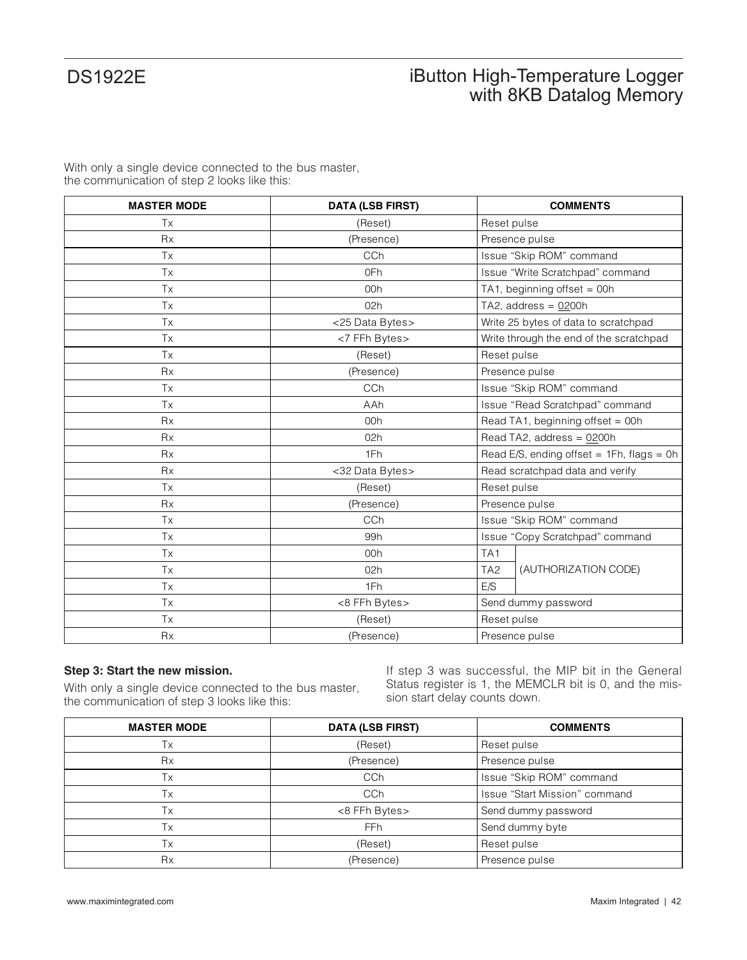| With only a single device connected to the bus master, |  |
|--------------------------------------------------------|--|
| the communication of step 2 looks like this:           |  |

| <b>MASTER MODE</b> | <b>DATA (LSB FIRST)</b> | <b>COMMENTS</b>                                 |  |  |
|--------------------|-------------------------|-------------------------------------------------|--|--|
| Tx                 | (Reset)                 | Reset pulse                                     |  |  |
| <b>Rx</b>          | (Presence)              | Presence pulse                                  |  |  |
| Tx                 | <b>CCh</b>              | Issue "Skip ROM" command                        |  |  |
| Tx                 | 0Fh                     | Issue "Write Scratchpad" command                |  |  |
| Tx                 | 00h                     | TA1, beginning offset $=$ 00h                   |  |  |
| Tx                 | 02h                     | TA2, address = $0200h$                          |  |  |
| <b>Tx</b>          | <25 Data Bytes>         | Write 25 bytes of data to scratchpad            |  |  |
| Tx                 | <7 FFh Bytes>           | Write through the end of the scratchpad         |  |  |
| Tx                 | (Reset)                 | Reset pulse                                     |  |  |
| <b>Rx</b>          | (Presence)              | Presence pulse                                  |  |  |
| Tx                 | <b>CCh</b>              | Issue "Skip ROM" command                        |  |  |
| Tx                 | AAh                     | Issue "Read Scratchpad" command                 |  |  |
| <b>Rx</b>          | 00h                     | Read TA1, beginning offset = 00h                |  |  |
| <b>Rx</b>          | 02h                     | Read TA2, address = 0200h                       |  |  |
| <b>Rx</b>          | 1Fh                     | Read E/S, ending offset $= 1$ Fh, flags $= 0$ h |  |  |
| <b>Rx</b>          | <32 Data Bytes>         | Read scratchpad data and verify                 |  |  |
| Tx                 | (Reset)                 | Reset pulse                                     |  |  |
| <b>Rx</b>          | (Presence)              | Presence pulse                                  |  |  |
| Tx                 | <b>CCh</b>              | Issue "Skip ROM" command                        |  |  |
| Tx                 | 99h                     | Issue "Copy Scratchpad" command                 |  |  |
| Tx                 | 00h                     | TA <sub>1</sub>                                 |  |  |
| Tx                 | 02h                     | (AUTHORIZATION CODE)<br>TA <sub>2</sub>         |  |  |
| <b>Tx</b>          | 1Fh                     | E/S                                             |  |  |
| <b>Tx</b>          | <8 FFh Bytes>           | Send dummy password                             |  |  |
| Tx                 | (Reset)                 | Reset pulse                                     |  |  |
| <b>Rx</b>          | (Presence)              | Presence pulse                                  |  |  |

#### **Step 3: Start the new mission.**

With only a single device connected to the bus master, the communication of step 3 looks like this:

If step 3 was successful, the MIP bit in the General Status register is 1, the MEMCLR bit is 0, and the mission start delay counts down.

| <b>MASTER MODE</b> | <b>DATA (LSB FIRST)</b> | <b>COMMENTS</b>               |
|--------------------|-------------------------|-------------------------------|
| Tx                 | (Reset)                 | Reset pulse                   |
| <b>Rx</b>          | (Presence)              | Presence pulse                |
| Tx                 | CC <sub>h</sub>         | Issue "Skip ROM" command      |
| Tx                 | CC <sub>h</sub>         | Issue "Start Mission" command |
| Tx                 | <8 FFh Bytes>           | Send dummy password           |
| Tx                 | FF <sub>h</sub>         | Send dummy byte               |
| Tx                 | (Reset)                 | Reset pulse                   |
| <b>Rx</b>          | (Presence)              | Presence pulse                |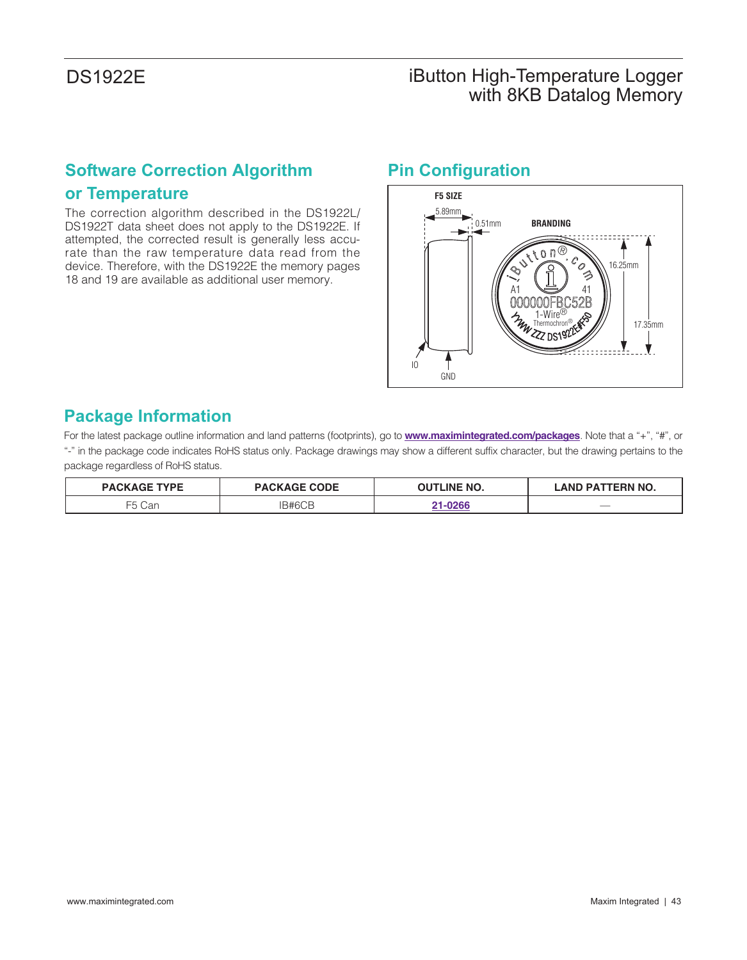# <span id="page-42-0"></span>**Software Correction Algorithm**

## **or Temperature**

The correction algorithm described in the DS1922L/ DS1922T data sheet does not apply to the DS1922E. If attempted, the corrected result is generally less accurate than the raw temperature data read from the device. Therefore, with the DS1922E the memory pages 18 and 19 are available as additional user memory.

## **Pin Configuration**



## **Package Information**

For the latest package outline information and land patterns (footprints), go to **www.maximintegrated.com/packages**. Note that a "+", "#", or "-" in the package code indicates RoHS status only. Package drawings may show a different suffix character, but the drawing pertains to the package regardless of RoHS status.

| <b>PACKAGE TYPE</b> | <b>PACKAGE CODE</b> | <b>OUTLINE NO.</b> | <b>LAND PATTERN NO.</b>  |
|---------------------|---------------------|--------------------|--------------------------|
| $\sim$<br>5 Can     | IR#6CF              | $-0266$            | $\overline{\phantom{a}}$ |